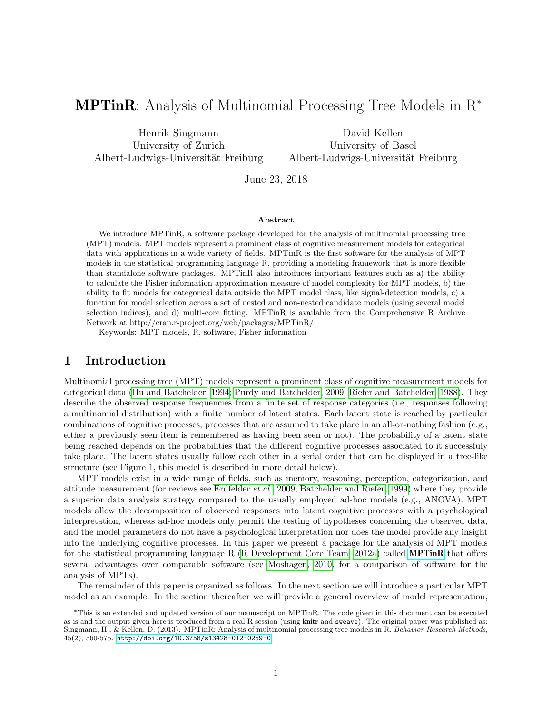# MPTinR: Analysis of Multinomial Processing Tree Models in R<sup>∗</sup>

Henrik Singmann University of Zurich Albert-Ludwigs-Universität Freiburg

David Kellen University of Basel Albert-Ludwigs-Universität Freiburg

June 23, 2018

#### Abstract

We introduce MPTinR, a software package developed for the analysis of multinomial processing tree (MPT) models. MPT models represent a prominent class of cognitive measurement models for categorical data with applications in a wide variety of fields. MPTinR is the first software for the analysis of MPT models in the statistical programming language R, providing a modeling framework that is more flexible than standalone software packages. MPTinR also introduces important features such as a) the ability to calculate the Fisher information approximation measure of model complexity for MPT models, b) the ability to fit models for categorical data outside the MPT model class, like signal-detection models, c) a function for model selection across a set of nested and non-nested candidate models (using several model selection indices), and d) multi-core fitting. MPTinR is available from the Comprehensive R Archive Network at http://cran.r-project.org/web/packages/MPTinR/

Keywords: MPT models, R, software, Fisher information

## 1 Introduction

Multinomial processing tree (MPT) models represent a prominent class of cognitive measurement models for categorical data [\(Hu and Batchelder, 1994;](#page-27-0) [Purdy and Batchelder, 2009;](#page-27-1) Riefer and [Batchelder, 1988\)](#page-28-0). They describe the observed response frequencies from a finite set of response categories (i.e., responses following a multinomial distribution) with a finite number of latent states. Each latent state is reached by particular combinations of cognitive processes; processes that are assumed to take place in an all-or-nothing fashion (e.g., either a previously seen item is remembered as having been seen or not). The probability of a latent state being reached depends on the probabilities that the different cognitive processes associated to it successfuly take place. The latent states usually follow each other in a serial order that can be displayed in a tree-like structure (see Figure 1, this model is described in more detail below).

MPT models exist in a wide range of fields, such as memory, reasoning, perception, categorization, and attitude measurement (for reviews see [Erdfelder](#page-26-0) *et al.*, [2009;](#page-26-0) [Batchelder and Riefer, 1999\)](#page-26-1) where they provide a superior data analysis strategy compared to the usually employed ad-hoc models (e.g., ANOVA). MPT models allow the decomposition of observed responses into latent cognitive processes with a psychological interpretation, whereas ad-hoc models only permit the testing of hypotheses concerning the observed data, and the model parameters do not have a psychological interpretation nor does the model provide any insight into the underlying cognitive processes. In this paper we present a package for the analysis of MPT models for the statistical programming language R [\(R Development Core Team, 2012a\)](#page-27-2) called **[MPTinR](http://CRAN.R-project.org/package=MPTinR)** that offers several advantages over comparable software (see [Moshagen, 2010,](#page-27-3) for a comparison of software for the analysis of MPTs).

The remainder of this paper is organized as follows. In the next section we will introduce a particular MPT model as an example. In the section thereafter we will provide a general overview of model representation,

<sup>∗</sup>This is an extended and updated version of our manuscript on MPTinR. The code given in this document can be executed as is and the output given here is produced from a real R session (using knitr and sweave). The original paper was published as: Singmann, H., & Kellen, D. (2013). MPTinR: Analysis of multinomial processing tree models in R. Behavior Research Methods, 45(2), 560-575. <http://doi.org/10.3758/s13428-012-0259-0>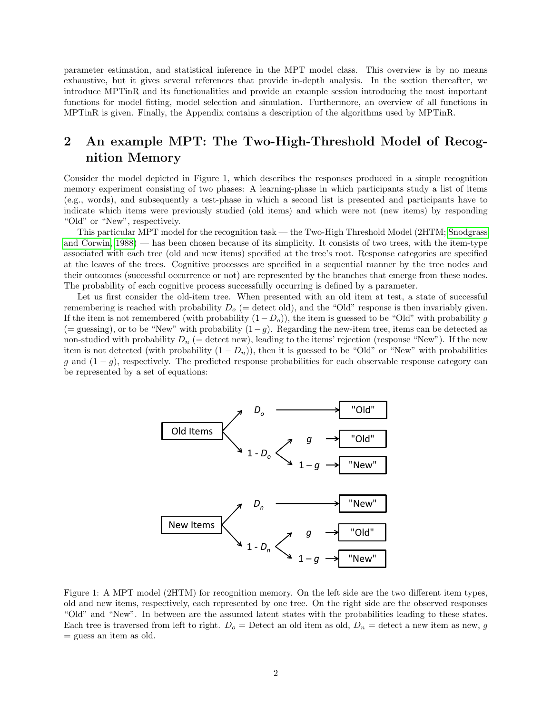parameter estimation, and statistical inference in the MPT model class. This overview is by no means exhaustive, but it gives several references that provide in-depth analysis. In the section thereafter, we introduce MPTinR and its functionalities and provide an example session introducing the most important functions for model fitting, model selection and simulation. Furthermore, an overview of all functions in MPTinR is given. Finally, the Appendix contains a description of the algorithms used by MPTinR.

# 2 An example MPT: The Two-High-Threshold Model of Recognition Memory

Consider the model depicted in Figure 1, which describes the responses produced in a simple recognition memory experiment consisting of two phases: A learning-phase in which participants study a list of items (e.g., words), and subsequently a test-phase in which a second list is presented and participants have to indicate which items were previously studied (old items) and which were not (new items) by responding "Old" or "New", respectively.

This particular MPT model for the recognition task — the Two-High Threshold Model (2HTM; [Snodgrass](#page-28-1) [and Corwin, 1988\)](#page-28-1) — has been chosen because of its simplicity. It consists of two trees, with the item-type associated with each tree (old and new items) specified at the tree's root. Response categories are specified at the leaves of the trees. Cognitive processes are specified in a sequential manner by the tree nodes and their outcomes (successful occurrence or not) are represented by the branches that emerge from these nodes. The probability of each cognitive process successfully occurring is defined by a parameter.

Let us first consider the old-item tree. When presented with an old item at test, a state of successful remembering is reached with probability  $D<sub>o</sub>$  (= detect old), and the "Old" response is then invariably given. If the item is not remembered (with probability  $(1-D<sub>o</sub>)$ ), the item is guessed to be "Old" with probability g (= guessing), or to be "New" with probability  $(1-g)$ . Regarding the new-item tree, items can be detected as non-studied with probability  $D_n$  (= detect new), leading to the items' rejection (response "New"). If the new item is not detected (with probability  $(1 - D_n)$ ), then it is guessed to be "Old" or "New" with probabilities g and  $(1-g)$ , respectively. The predicted response probabilities for each observable response category can be represented by a set of equations:



Figure 1: A MPT model (2HTM) for recognition memory. On the left side are the two different item types, old and new items, respectively, each represented by one tree. On the right side are the observed responses "Old" and "New". In between are the assumed latent states with the probabilities leading to these states. Each tree is traversed from left to right.  $D<sub>o</sub> =$  Detect an old item as old,  $D<sub>n</sub> =$  detect a new item as new, g = guess an item as old.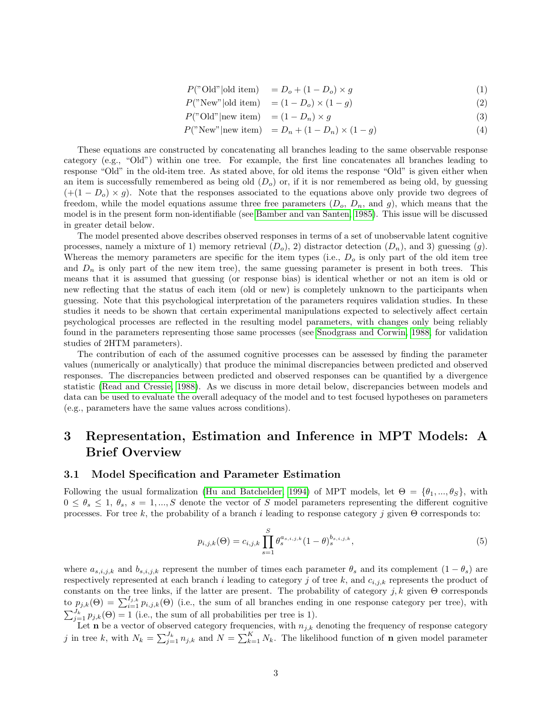$$
P("Old" | old item) = Do + (1 - Do) \times g
$$
 (1)

$$
P("New" | old item) = (1 - Do) \times (1 - g)
$$
\n(2)

$$
P("Old" | new item) = (1 - Dn) \times g
$$
\n(3)

$$
P("New" | new item) = Dn + (1 - Dn) \times (1 - g)
$$
\n(4)

These equations are constructed by concatenating all branches leading to the same observable response category (e.g., "Old") within one tree. For example, the first line concatenates all branches leading to response "Old" in the old-item tree. As stated above, for old items the response "Old" is given either when an item is successfully remembered as being old  $(D<sub>o</sub>)$  or, if it is nor remembered as being old, by guessing  $(+(1 - D<sub>o</sub>) \times g)$ . Note that the responses associated to the equations above only provide two degrees of freedom, while the model equations assume three free parameters  $(D_o, D_n, \text{ and } g)$ , which means that the model is in the present form non-identifiable (see [Bamber and van Santen, 1985\)](#page-26-2). This issue will be discussed in greater detail below.

The model presented above describes observed responses in terms of a set of unobservable latent cognitive processes, namely a mixture of 1) memory retrieval  $(D_o)$ , 2) distractor detection  $(D_n)$ , and 3) guessing  $(g)$ . Whereas the memory parameters are specific for the item types (i.e.,  $D<sub>o</sub>$  is only part of the old item tree and  $D_n$  is only part of the new item tree), the same guessing parameter is present in both trees. This means that it is assumed that guessing (or response bias) is identical whether or not an item is old or new reflecting that the status of each item (old or new) is completely unknown to the participants when guessing. Note that this psychological interpretation of the parameters requires validation studies. In these studies it needs to be shown that certain experimental manipulations expected to selectively affect certain psychological processes are reflected in the resulting model parameters, with changes only being reliably found in the parameters representing those same processes (see [Snodgrass and Corwin, 1988,](#page-28-1) for validation studies of 2HTM parameters).

The contribution of each of the assumed cognitive processes can be assessed by finding the parameter values (numerically or analytically) that produce the minimal discrepancies between predicted and observed responses. The discrepancies between predicted and observed responses can be quantified by a divergence statistic [\(Read and Cressie, 1988\)](#page-28-2). As we discuss in more detail below, discrepancies between models and data can be used to evaluate the overall adequacy of the model and to test focused hypotheses on parameters (e.g., parameters have the same values across conditions).

# 3 Representation, Estimation and Inference in MPT Models: A Brief Overview

### 3.1 Model Specification and Parameter Estimation

Following the usual formalization [\(Hu and Batchelder, 1994\)](#page-27-0) of MPT models, let  $\Theta = {\theta_1, ..., \theta_S}$ , with  $0 \le \theta_s \le 1, \theta_s, s = 1, ..., S$  denote the vector of S model parameters representing the different cognitive processes. For tree k, the probability of a branch i leading to response category j given  $\Theta$  corresponds to:

$$
p_{i,j,k}(\Theta) = c_{i,j,k} \prod_{s=1}^{S} \theta_s^{a_{s,i,j,k}} (1-\theta)_s^{b_{s,i,j,k}}, \qquad (5)
$$

where  $a_{s,i,j,k}$  and  $b_{s,i,j,k}$  represent the number of times each parameter  $\theta_s$  and its complement  $(1 - \theta_s)$  are respectively represented at each branch i leading to category j of tree  $k$ , and  $c_{i,j,k}$  represents the product of constants on the tree links, if the latter are present. The probability of category j, k given  $\Theta$  corresponds to  $p_{j,k}(\Theta) = \sum_{i=1}^{I_{j,k}} p_{i,j,k}(\Theta)$  (i.e., the sum of all branches ending in one response category per tree), with  $\sum_{j=1}^{J_k} p_{j,k}(\Theta) = 1$  (i.e., the sum of all probabilities per tree is 1).

Let **n** be a vector of observed category frequencies, with  $n_{j,k}$  denoting the frequency of response category j in tree k, with  $N_k = \sum_{j=1}^{J_k} n_{j,k}$  and  $N = \sum_{k=1}^{K} N_k$ . The likelihood function of **n** given model parameter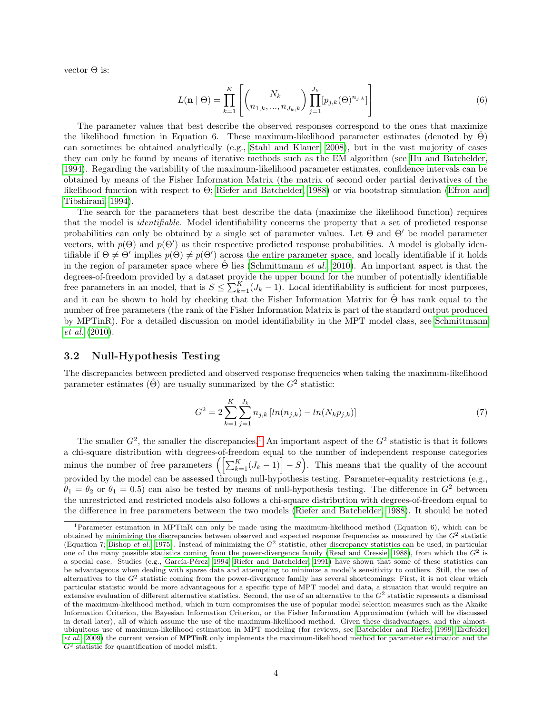vector  $\Theta$  is:

$$
L(\mathbf{n} \mid \Theta) = \prod_{k=1}^{K} \left[ \binom{N_k}{n_{1,k}, ..., n_{J_k,k}} \prod_{j=1}^{J_k} [p_{j,k}(\Theta)^{n_{j,k}}] \right]
$$
(6)

The parameter values that best describe the observed responses correspond to the ones that maximize the likelihood function in Equation 6. These maximum-likelihood parameter estimates (denoted by  $\Theta$ ) can sometimes be obtained analytically (e.g., [Stahl and Klauer, 2008\)](#page-28-3), but in the vast majority of cases they can only be found by means of iterative methods such as the EM algorithm (see [Hu and Batchelder,](#page-27-0) [1994\)](#page-27-0). Regarding the variability of the maximum-likelihood parameter estimates, confidence intervals can be obtained by means of the Fisher Information Matrix (the matrix of second order partial derivatives of the likelihood function with respect to Θ; [Riefer and Batchelder, 1988\)](#page-28-0) or via bootstrap simulation [\(Efron and](#page-26-3) [Tibshirani, 1994\)](#page-26-3).

The search for the parameters that best describe the data (maximize the likelihood function) requires that the model is *identifiable*. Model identifiability concerns the property that a set of predicted response probabilities can only be obtained by a single set of parameter values. Let  $\Theta$  and  $\Theta'$  be model parameter vectors, with  $p(\Theta)$  and  $p(\Theta')$  as their respective predicted response probabilities. A model is globally identifiable if  $\Theta \neq \Theta'$  implies  $p(\Theta) \neq p(\Theta')$  across the entire parameter space, and locally identifiable if it holds in the region of parameter space where  $\Theta$  lies [\(Schmittmann](#page-28-4) *et al.*, [2010\)](#page-28-4). An important aspect is that the degrees-of-freedom provided by a dataset provide the upper bound for the number of potentially identifiable free parameters in an model, that is  $S \n\t\leq \sum_{k=1}^{K} (J_k - 1)$ . Local identifiability is sufficient for most purposes, and it can be shown to hold by checking that the Fisher Information Matrix for  $\Theta$  has rank equal to the number of free parameters (the rank of the Fisher Information Matrix is part of the standard output produced by MPTinR). For a detailed discussion on model identifiability in the MPT model class, see [Schmittmann](#page-28-4) *[et al.](#page-28-4)* [\(2010\)](#page-28-4).

## 3.2 Null-Hypothesis Testing

The discrepancies between predicted and observed response frequencies when taking the maximum-likelihood parameter estimates  $(\hat{\Theta})$  are usually summarized by the  $G^2$  statistic:

$$
G^{2} = 2\sum_{k=1}^{K} \sum_{j=1}^{J_{k}} n_{j,k} \left[ ln(n_{j,k}) - ln(N_{k}p_{j,k}) \right]
$$
\n(7)

The smaller  $G^2$ , the smaller the discrepancies.<sup>[1](#page-3-0)</sup> An important aspect of the  $G^2$  statistic is that it follows a chi-square distribution with degrees-of-freedom equal to the number of independent response categories minus the number of free parameters  $\left( \left[ \sum_{k=1}^K (J_k - 1) \right] - S \right)$ . This means that the quality of the account provided by the model can be assessed through null-hypothesis testing. Parameter-equality restrictions (e.g.,  $\theta_1 = \theta_2$  or  $\theta_1 = 0.5$ ) can also be tested by means of null-hypothesis testing. The difference in  $G^2$  between the unrestricted and restricted models also follows a chi-square distribution with degrees-of-freedom equal to the difference in free parameters between the two models [\(Riefer and Batchelder, 1988\)](#page-28-0). It should be noted

<span id="page-3-0"></span><sup>1</sup>Parameter estimation in MPTinR can only be made using the maximum-likelihood method (Equation 6), which can be obtained by minimizing the discrepancies between observed and expected response frequencies as measured by the  $G^2$  statistic (Equation 7; [Bishop](#page-26-4) et al., [1975\)](#page-26-4). Instead of minimizing the  $G^2$  statistic, other discrepancy statistics can be used, in particular one of the many possible statistics coming from the power-divergence family [\(Read and Cressie, 1988\)](#page-28-2), from which the  $G^2$  is a special case. Studies (e.g., García-Pérez, 1994; [Riefer and Batchelder, 1991\)](#page-28-5) have shown that some of these statistics can be advantageous when dealing with sparse data and attempting to minimize a model's sensitivity to outliers. Still, the use of alternatives to the  $G^2$  statistic coming from the power-divergence family has several shortcomings: First, it is not clear which particular statistic would be more advantageous for a specific type of MPT model and data, a situation that would require an extensive evaluation of different alternative statistics. Second, the use of an alternative to the  $G^2$  statistic represents a dismissal of the maximum-likelihood method, which in turn compromises the use of popular model selection measures such as the Akaike Information Criterion, the Bayesian Information Criterion, or the Fisher Information Approximation (which will be discussed in detail later), all of which assume the use of the maximum-likelihood method. Given these disadvantages, and the almostubiquitous use of maximum-likelihood estimation in MPT modeling (for reviews, see [Batchelder and Riefer, 1999;](#page-26-1) [Erdfelder](#page-26-0) [et al.](#page-26-0), [2009\)](#page-26-0) the current version of MPTinR only implements the maximum-likelihood method for parameter estimation and the  $G<sup>2</sup>$  statistic for quantification of model misfit.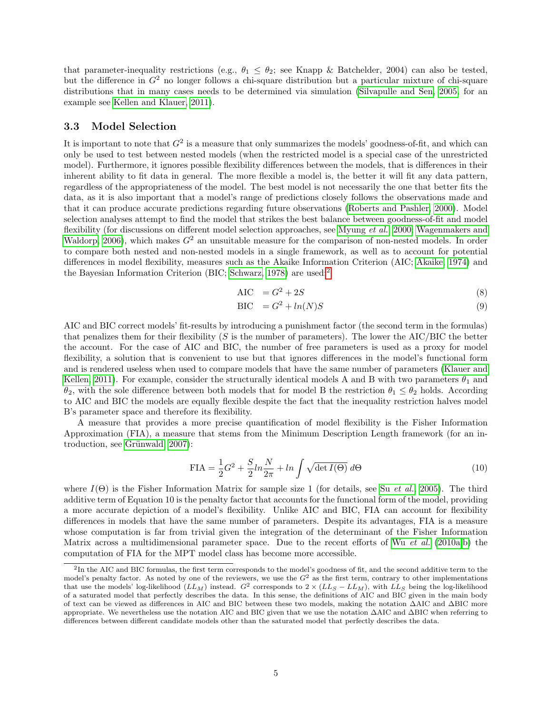that parameter-inequality restrictions (e.g.,  $\theta_1 \leq \theta_2$ ; see Knapp & Batchelder, 2004) can also be tested, but the difference in  $G<sup>2</sup>$  no longer follows a chi-square distribution but a particular mixture of chi-square distributions that in many cases needs to be determined via simulation [\(Silvapulle and Sen, 2005,](#page-28-6) for an example see [Kellen and Klauer, 2011\)](#page-27-4).

### 3.3 Model Selection

It is important to note that  $G^2$  is a measure that only summarizes the models' goodness-of-fit, and which can only be used to test between nested models (when the restricted model is a special case of the unrestricted model). Furthermore, it ignores possible flexibility differences between the models, that is differences in their inherent ability to fit data in general. The more flexible a model is, the better it will fit any data pattern, regardless of the appropriateness of the model. The best model is not necessarily the one that better fits the data, as it is also important that a model's range of predictions closely follows the observations made and that it can produce accurate predictions regarding future observations [\(Roberts and Pashler, 2000\)](#page-28-7). Model selection analyses attempt to find the model that strikes the best balance between goodness-of-fit and model flexibility (for discussions on different model selection approaches, see [Myung](#page-27-5) *et al.*, [2000;](#page-27-5) [Wagenmakers and](#page-28-8) [Waldorp, 2006\)](#page-28-8), which makes  $G<sup>2</sup>$  an unsuitable measure for the comparison of non-nested models. In order to compare both nested and non-nested models in a single framework, as well as to account for potential differences in model flexibility, measures such as the Akaike Information Criterion (AIC; [Akaike, 1974\)](#page-26-6) and the Bayesian Information Criterion (BIC; [Schwarz, 1978\)](#page-28-9) are used:[2](#page-4-0)

$$
AIC = G^2 + 2S \tag{8}
$$

$$
BIC = G^2 + ln(N)S \tag{9}
$$

AIC and BIC correct models' fit-results by introducing a punishment factor (the second term in the formulas) that penalizes them for their flexibility (S is the number of parameters). The lower the  $AIC/BIC$  the better the account. For the case of AIC and BIC, the number of free parameters is used as a proxy for model flexibility, a solution that is convenient to use but that ignores differences in the model's functional form and is rendered useless when used to compare models that have the same number of parameters [\(Klauer and](#page-27-6) [Kellen, 2011\)](#page-27-6). For example, consider the structurally identical models A and B with two parameters  $\theta_1$  and  $\theta_2$ , with the sole difference between both models that for model B the restriction  $\theta_1 \leq \theta_2$  holds. According to AIC and BIC the models are equally flexible despite the fact that the inequality restriction halves model B's parameter space and therefore its flexibility.

A measure that provides a more precise quantification of model flexibility is the Fisher Information Approximation (FIA), a measure that stems from the Minimum Description Length framework (for an introduction, see Grünwald, 2007):

$$
FIA = \frac{1}{2}G^2 + \frac{S}{2}ln\frac{N}{2\pi} + ln\int \sqrt{\det I(\Theta)} \, d\Theta \tag{10}
$$

where  $I(\Theta)$  is the Fisher Information Matrix for sample size 1 (for details, see Su *[et al.](#page-28-10)*, [2005\)](#page-28-10). The third additive term of Equation 10 is the penalty factor that accounts for the functional form of the model, providing a more accurate depiction of a model's flexibility. Unlike AIC and BIC, FIA can account for flexibility differences in models that have the same number of parameters. Despite its advantages, FIA is a measure whose computation is far from trivial given the integration of the determinant of the Fisher Information Matrix across a multidimensional parameter space. Due to the recent efforts of Wu *[et al.](#page-29-0)* [\(2010a](#page-29-0)[,b\)](#page-29-1) the computation of FIA for the MPT model class has become more accessible.

<span id="page-4-0"></span> $^{2}$ In the AIC and BIC formulas, the first term corresponds to the model's goodness of fit, and the second additive term to the model's penalty factor. As noted by one of the reviewers, we use the  $G<sup>2</sup>$  as the first term, contrary to other implementations that use the models' log-likelihood (LL<sub>M</sub>) instead. G<sup>2</sup> corresponds to 2 × (LL<sub>S</sub> – LL<sub>M</sub>), with LL<sub>S</sub> being the log-likelihood of a saturated model that perfectly describes the data. In this sense, the definitions of AIC and BIC given in the main body of text can be viewed as differences in AIC and BIC between these two models, making the notation ∆AIC and ∆BIC more appropriate. We nevertheless use the notation AIC and BIC given that we use the notation ∆AIC and ∆BIC when referring to differences between different candidate models other than the saturated model that perfectly describes the data.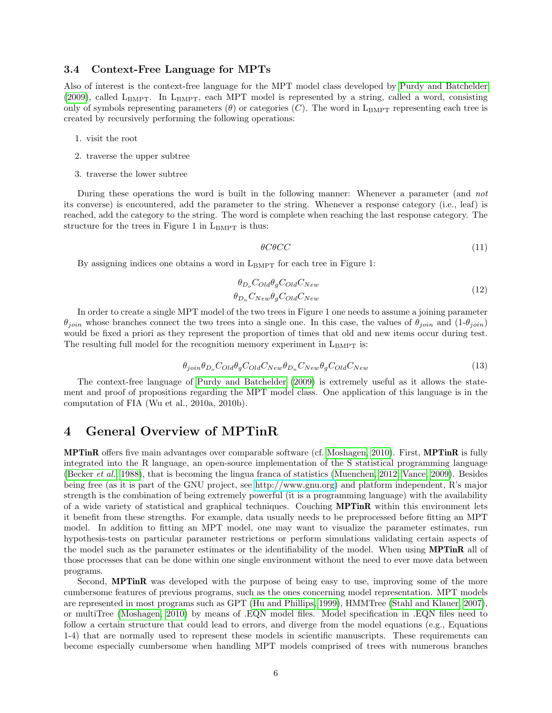## 3.4 Context-Free Language for MPTs

Also of interest is the context-free language for the MPT model class developed by [Purdy and Batchelder](#page-27-1)  $(2009)$ , called L<sub>BMPT</sub>. In L<sub>BMPT</sub>, each MPT model is represented by a string, called a word, consisting only of symbols representing parameters  $(\theta)$  or categories  $(C)$ . The word in L<sub>BMPT</sub> representing each tree is created by recursively performing the following operations:

- 1. visit the root
- 2. traverse the upper subtree
- 3. traverse the lower subtree

During these operations the word is built in the following manner: Whenever a parameter (and *not* its converse) is encountered, add the parameter to the string. Whenever a response category (i.e., leaf) is reached, add the category to the string. The word is complete when reaching the last response category. The structure for the trees in Figure 1 in  $L_{\text{BMPT}}$  is thus:

$$
\theta C \theta C C \tag{11}
$$

By assigning indices one obtains a word in  $L_{BMPT}$  for each tree in Figure 1:

$$
\theta_{D_o} C_{Old} \theta_g C_{Old} C_{New}
$$
\n
$$
\theta_{D_n} C_{New} \theta_g C_{Old} C_{New}
$$
\n(12)

In order to create a single MPT model of the two trees in Figure 1 one needs to assume a joining parameter  $\theta_{join}$  whose branches connect the two trees into a single one. In this case, the values of  $\theta_{join}$  and  $(1-\theta_{join})$ would be fixed a priori as they represent the proportion of times that old and new items occur during test. The resulting full model for the recognition memory experiment in  $L_{\text{BMPT}}$  is:

$$
\theta_{join}\theta_{Do}C_{Old}\theta_gC_{Old}C_{New}\theta_{D_n}C_{New}\theta_gC_{Old}C_{New}
$$
\n(13)

The context-free language of [Purdy and Batchelder \(2009\)](#page-27-1) is extremely useful as it allows the statement and proof of propositions regarding the MPT model class. One application of this language is in the computation of FIA (Wu et al., 2010a, 2010b).

# 4 General Overview of MPTinR

MPTinR offers five main advantages over comparable software (cf. [Moshagen, 2010\)](#page-27-3). First, MPTinR is fully integrated into the R language, an open-source implementation of the S statistical programming language [\(Becker](#page-26-8) *et al.*, [1988\)](#page-26-8), that is becoming the lingua franca of statistics [\(Muenchen, 2012;](#page-27-7) [Vance, 2009\)](#page-28-11). Besides being free (as it is part of the GNU project, see [http://www.gnu.org\)](http://www.gnu.org) and platform independent, R's major strength is the combination of being extremely powerful (it is a programming language) with the availability of a wide variety of statistical and graphical techniques. Couching MPTinR within this environment lets it benefit from these strengths. For example, data usually needs to be preprocessed before fitting an MPT model. In addition to fitting an MPT model, one may want to visualize the parameter estimates, run hypothesis-tests on particular parameter restrictions or perform simulations validating certain aspects of the model such as the parameter estimates or the identifiability of the model. When using **MPTINR** all of those processes that can be done within one single environment without the need to ever move data between programs.

Second, MPTinR was developed with the purpose of being easy to use, improving some of the more cumbersome features of previous programs, such as the ones concerning model representation. MPT models are represented in most programs such as GPT [\(Hu and Phillips, 1999\)](#page-27-8), HMMTree [\(Stahl and Klauer, 2007\)](#page-28-12), or multiTree [\(Moshagen, 2010\)](#page-27-3) by means of .EQN model files. Model specification in .EQN files need to follow a certain structure that could lead to errors, and diverge from the model equations (e.g., Equations 1-4) that are normally used to represent these models in scientific manuscripts. These requirements can become especially cumbersome when handling MPT models comprised of trees with numerous branches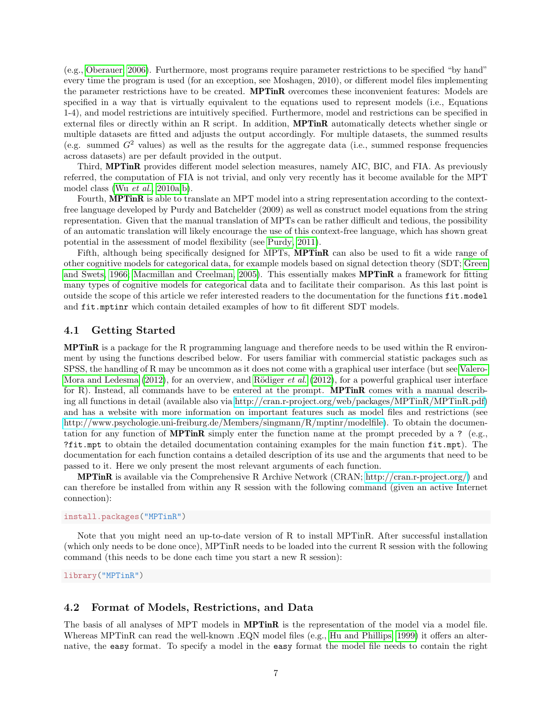(e.g., [Oberauer, 2006\)](#page-27-9). Furthermore, most programs require parameter restrictions to be specified "by hand" every time the program is used (for an exception, see Moshagen, 2010), or different model files implementing the parameter restrictions have to be created. MPTinR overcomes these inconvenient features: Models are specified in a way that is virtually equivalent to the equations used to represent models (i.e., Equations 1-4), and model restrictions are intuitively specified. Furthermore, model and restrictions can be specified in external files or directly within an R script. In addition, MPTinR automatically detects whether single or multiple datasets are fitted and adjusts the output accordingly. For multiple datasets, the summed results (e.g. summed  $G<sup>2</sup>$  values) as well as the results for the aggregate data (i.e., summed response frequencies across datasets) are per default provided in the output.

Third, MPTinR provides different model selection measures, namely AIC, BIC, and FIA. As previously referred, the computation of FIA is not trivial, and only very recently has it become available for the MPT model class (Wu *[et al.](#page-29-0)*, [2010a,](#page-29-0)[b\)](#page-29-1).

Fourth, **MPTinR** is able to translate an MPT model into a string representation according to the contextfree language developed by Purdy and Batchelder (2009) as well as construct model equations from the string representation. Given that the manual translation of MPTs can be rather difficult and tedious, the possibility of an automatic translation will likely encourage the use of this context-free language, which has shown great potential in the assessment of model flexibility (see [Purdy, 2011\)](#page-27-10).

Fifth, although being specifically designed for MPTs, **MPTinR** can also be used to fit a wide range of other cognitive models for categorical data, for example models based on signal detection theory (SDT; [Green](#page-26-9) [and Swets, 1966;](#page-26-9) [Macmillan and Creelman, 2005\)](#page-27-11). This essentially makes **MPTinR** a framework for fitting many types of cognitive models for categorical data and to facilitate their comparison. As this last point is outside the scope of this article we refer interested readers to the documentation for the functions fit.model and fit.mptinr which contain detailed examples of how to fit different SDT models.

## 4.1 Getting Started

MPTinR is a package for the R programming language and therefore needs to be used within the R environment by using the functions described below. For users familiar with commercial statistic packages such as SPSS, the handling of R may be uncommon as it does not come with a graphical user interface (but see [Valero-](#page-28-13)[Mora and Ledesma \(2012\)](#page-28-13), for an overview, and Rödiger *et al.* [\(2012\)](#page-28-14), for a powerful graphical user interface for R). Instead, all commands have to be entered at the prompt. **MPTinR** comes with a manual describing all functions in detail (available also via [http://cran.r-project.org/web/packages/MPTinR/MPTinR.pdf\)](http://cran.r-project.org/web/packages/MPTinR/MPTinR.pdf) and has a website with more information on important features such as model files and restrictions (see [http://www.psychologie.uni-freiburg.de/Members/singmann/R/mptinr/modelfile\)](http://www.psychologie.uni-freiburg.de/Members/singmann/R/mptinr/modelfile). To obtain the documentation for any function of **MPTinR** simply enter the function name at the prompt preceded by a ? (e.g., ?fit.mpt to obtain the detailed documentation containing examples for the main function fit.mpt). The documentation for each function contains a detailed description of its use and the arguments that need to be passed to it. Here we only present the most relevant arguments of each function.

MPTinR is available via the Comprehensive R Archive Network (CRAN; [http://cran.r-project.org/\)](http://cran.r-project.org/) and can therefore be installed from within any R session with the following command (given an active Internet connection):

#### install.packages("MPTinR")

Note that you might need an up-to-date version of R to install MPTinR. After successful installation (which only needs to be done once), MPTinR needs to be loaded into the current R session with the following command (this needs to be done each time you start a new R session):

library("MPTinR")

#### 4.2 Format of Models, Restrictions, and Data

The basis of all analyses of MPT models in **MPTING** is the representation of the model via a model file. Whereas MPTinR can read the well-known .EQN model files (e.g., Hu and [Phillips, 1999\)](#page-27-8) it offers an alternative, the easy format. To specify a model in the easy format the model file needs to contain the right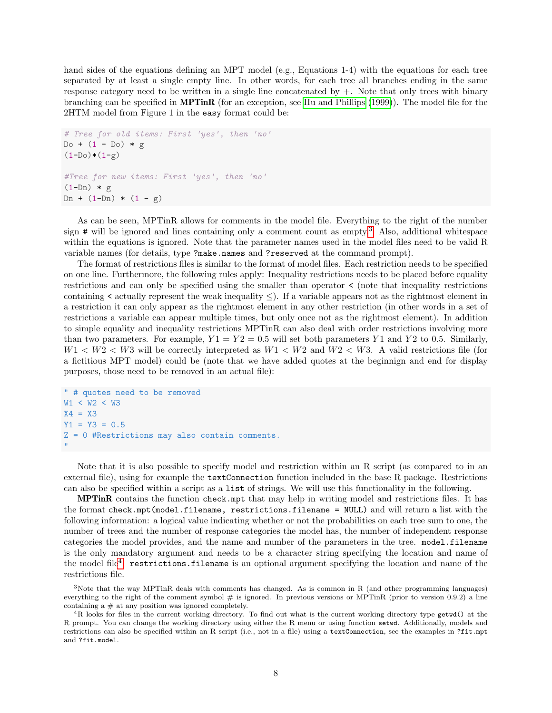hand sides of the equations defining an MPT model (e.g., Equations 1-4) with the equations for each tree separated by at least a single empty line. In other words, for each tree all branches ending in the same response category need to be written in a single line concatenated by +. Note that only trees with binary branching can be specified in MPTinR (for an exception, see [Hu and Phillips \(1999\)](#page-27-8)). The model file for the 2HTM model from Figure 1 in the easy format could be:

```
# Tree for old items: First 'yes', then 'no'
Do + (1 - Do) * g(1-Do)*(1-g)#Tree for new items: First 'yes', then 'no'
(1-Dn) * gDn + (1-Dn) * (1 - g)
```
As can be seen, MPTinR allows for comments in the model file. Everything to the right of the number sign  $\#$  will be ignored and lines containing only a comment count as empty.<sup>[3](#page-7-0)</sup> Also, additional whitespace within the equations is ignored. Note that the parameter names used in the model files need to be valid R variable names (for details, type ?make.names and ?reserved at the command prompt).

The format of restrictions files is similar to the format of model files. Each restriction needs to be specified on one line. Furthermore, the following rules apply: Inequality restrictions needs to be placed before equality restrictions and can only be specified using the smaller than operator < (note that inequality restrictions containing  $\leq$  actually represent the weak inequality  $\leq$ ). If a variable appears not as the rightmost element in a restriction it can only appear as the rightmost element in any other restriction (in other words in a set of restrictions a variable can appear multiple times, but only once not as the rightmost element). In addition to simple equality and inequality restrictions MPTinR can also deal with order restrictions involving more than two parameters. For example,  $Y1 = Y2 = 0.5$  will set both parameters Y1 and Y2 to 0.5. Similarly,  $W1 < W2 < W3$  will be correctly interpreted as  $W1 < W2$  and  $W2 < W3$ . A valid restrictions file (for a fictitious MPT model) could be (note that we have added quotes at the beginnign and end for display purposes, those need to be removed in an actual file):

```
" # quotes need to be removed
W1 < W2 < W3
X4 = X3Y1 = Y3 = 0.5Z = 0 #Restrictions may also contain comments.
"
```
Note that it is also possible to specify model and restriction within an R script (as compared to in an external file), using for example the textConnection function included in the base R package. Restrictions can also be specified within a script as a list of strings. We will use this functionality in the following.

MPTinR contains the function check.mpt that may help in writing model and restrictions files. It has the format check.mpt(model.filename, restrictions.filename = NULL) and will return a list with the following information: a logical value indicating whether or not the probabilities on each tree sum to one, the number of trees and the number of response categories the model has, the number of independent response categories the model provides, and the name and number of the parameters in the tree. model.filename is the only mandatory argument and needs to be a character string specifying the location and name of the model file<sup>[4](#page-7-1)</sup>. restrictions.filename is an optional argument specifying the location and name of the restrictions file.

<span id="page-7-0"></span><sup>3</sup>Note that the way MPTinR deals with comments has changed. As is common in R (and other programming languages) everything to the right of the comment symbol  $\#$  is ignored. In previous versions or MPTinR (prior to version 0.9.2) a line containing  $a \#$  at any position was ignored completely.

<span id="page-7-1"></span><sup>4</sup>R looks for files in the current working directory. To find out what is the current working directory type getwd() at the R prompt. You can change the working directory using either the R menu or using function setwd. Additionally, models and restrictions can also be specified within an R script (i.e., not in a file) using a textConnection, see the examples in ?fit.mpt and ?fit.model.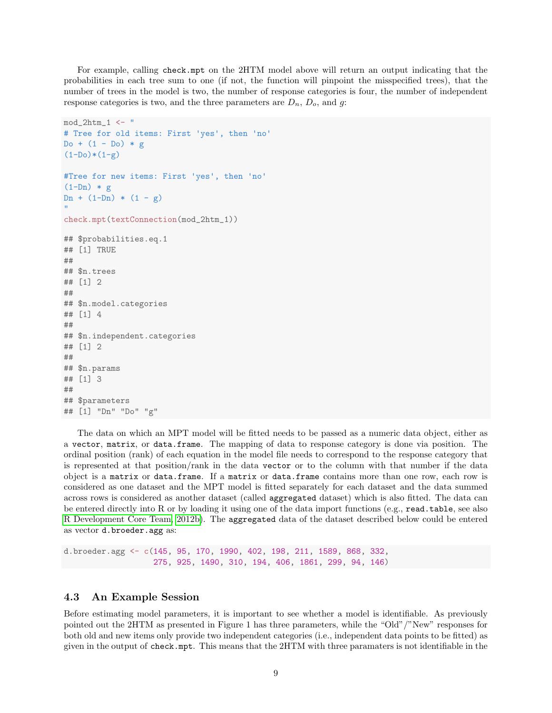For example, calling check.mpt on the 2HTM model above will return an output indicating that the probabilities in each tree sum to one (if not, the function will pinpoint the misspecified trees), that the number of trees in the model is two, the number of response categories is four, the number of independent response categories is two, and the three parameters are  $D_n$ ,  $D_o$ , and g:

```
mod_2htm_1 <- "
# Tree for old items: First 'yes', then 'no'
Do + (1 - Do) * g(1-Do)*(1-g)#Tree for new items: First 'yes', then 'no'
(1-Dn) * gDn + (1-Dn) * (1 - g)"
check.mpt(textConnection(mod_2htm_1))
## $probabilities.eq.1
## [1] TRUE
##
## $n.trees
## [1] 2
##
## $n.model.categories
## [1] 4
##
## $n.independent.categories
## [1] 2
##
## $n.params
## [1] 3
##
## $parameters
## [1] "Dn" "Do" "g"
```
The data on which an MPT model will be fitted needs to be passed as a numeric data object, either as a vector, matrix, or data.frame. The mapping of data to response category is done via position. The ordinal position (rank) of each equation in the model file needs to correspond to the response category that is represented at that position/rank in the data vector or to the column with that number if the data object is a matrix or data.frame. If a matrix or data.frame contains more than one row, each row is considered as one dataset and the MPT model is fitted separately for each dataset and the data summed across rows is considered as another dataset (called aggregated dataset) which is also fitted. The data can be entered directly into R or by loading it using one of the data import functions (e.g., read.table, see also [R Development Core Team, 2012b\)](#page-27-12). The aggregated data of the dataset described below could be entered as vector d.broeder.agg as:

```
d.broeder.agg <- c(145, 95, 170, 1990, 402, 198, 211, 1589, 868, 332,
                   275, 925, 1490, 310, 194, 406, 1861, 299, 94, 146)
```
## 4.3 An Example Session

Before estimating model parameters, it is important to see whether a model is identifiable. As previously pointed out the 2HTM as presented in Figure 1 has three parameters, while the "Old"/"New" responses for both old and new items only provide two independent categories (i.e., independent data points to be fitted) as given in the output of check.mpt. This means that the 2HTM with three paramaters is not identifiable in the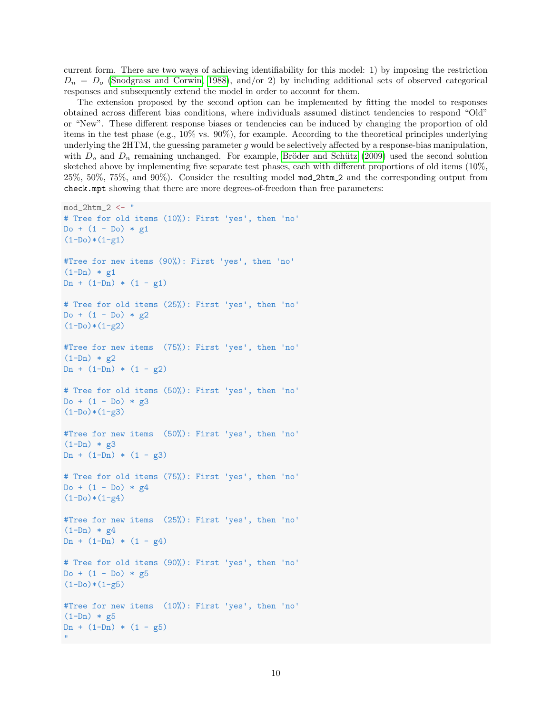current form. There are two ways of achieving identifiability for this model: 1) by imposing the restriction  $D_n = D_o$  [\(Snodgrass and Corwin, 1988\)](#page-28-1), and/or 2) by including additional sets of observed categorical responses and subsequently extend the model in order to account for them.

The extension proposed by the second option can be implemented by fitting the model to responses obtained across different bias conditions, where individuals assumed distinct tendencies to respond "Old" or "New". These different response biases or tendencies can be induced by changing the proportion of old items in the test phase (e.g., 10% vs. 90%), for example. According to the theoretical principles underlying underlying the  $2HTM$ , the guessing parameter g would be selectively affected by a response-bias manipulation, with  $D<sub>o</sub>$  and  $D<sub>n</sub>$  remaining unchanged. For example, Bröder and Schütz (2009) used the second solution sketched above by implementing five separate test phases, each with different proportions of old items (10%, 25%, 50%, 75%, and 90%). Consider the resulting model mod 2htm 2 and the corresponding output from check.mpt showing that there are more degrees-of-freedom than free parameters:

```
mod_2htm_2 <- "
# Tree for old items (10%): First 'yes', then 'no'
Do + (1 - Do) * g1(1-Do)*(1-g1)#Tree for new items (90%): First 'yes', then 'no'
(1-Dn) * g1Dn + (1-Dn) * (1 - g1)# Tree for old items (25%): First 'yes', then 'no'
Do + (1 - Do) * g2(1-Do)*(1-g2)#Tree for new items (75%): First 'yes', then 'no'
(1-Dn) * g2Dn + (1-Dn) * (1 - g2)# Tree for old items (50%): First 'yes', then 'no'
Do + (1 - Do) * g3(1-Do)*(1-g3)#Tree for new items (50%): First 'yes', then 'no'
(1-Dn) * g3Dn + (1-Dn) * (1 - g3)# Tree for old items (75%): First 'yes', then 'no'
Do + (1 - Do) * g4(1-Do)*(1-g4)#Tree for new items (25%): First 'yes', then 'no'
(1-Dn) * g4Dn + (1-Dn) * (1 - g4)# Tree for old items (90%): First 'yes', then 'no'
Do + (1 - Do) * g5(1-Do)*(1-g5)#Tree for new items (10%): First 'yes', then 'no'
(1-Dn) * g5Dn + (1-Dn) * (1 - g5)"
```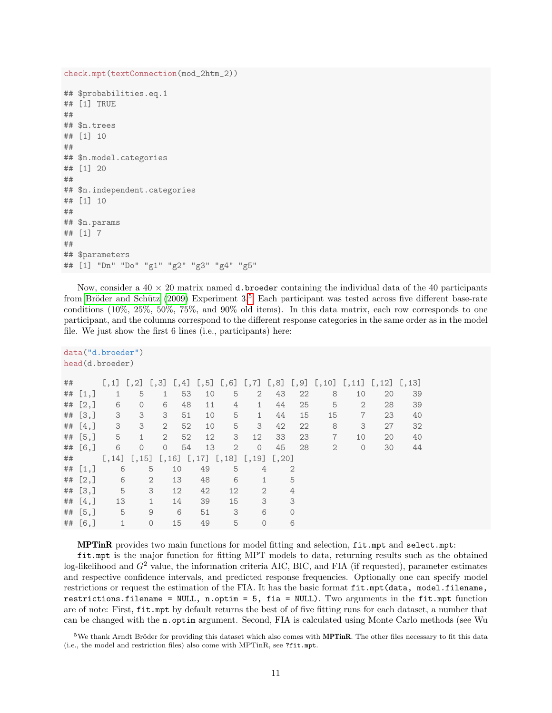```
check.mpt(textConnection(mod_2htm_2))
## $probabilities.eq.1
## [1] TRUE
##
## $n.trees
## [1] 10
##
## $n.model.categories
## [1] 20
##
## $n.independent.categories
## [1] 10
##
## $n.params
## [1] 7
##
## $parameters
## [1] "Dn" "Do" "g1" "g2" "g3" "g4" "g5"
```
Now, consider a  $40 \times 20$  matrix named d.broeder containing the individual data of the 40 participants from Bröder and Schütz (2009) Experiment  $3.5$  $3.5$  Each participant was tested across five different base-rate conditions (10%, 25%, 50%, 75%, and 90% old items). In this data matrix, each row corresponds to one participant, and the columns correspond to the different response categories in the same order as in the model file. We just show the first 6 lines (i.e., participants) here:

| data("d.broeder") |            |                 |              |                |                                         |    |                                 |                |                        |              |                |                |                                                                             |    |
|-------------------|------------|-----------------|--------------|----------------|-----------------------------------------|----|---------------------------------|----------------|------------------------|--------------|----------------|----------------|-----------------------------------------------------------------------------|----|
| head(d.broeder)   |            |                 |              |                |                                         |    |                                 |                |                        |              |                |                |                                                                             |    |
| ##                |            | $[0,1]$ $[0,2]$ |              |                | $\left[ 1,3\right]$ $\left[ 1,4\right]$ |    |                                 |                |                        |              |                |                | $[0,5]$ $[0,6]$ $[0,7]$ $[0,8]$ $[0,9]$ $[0,10]$ $[0,11]$ $[0,12]$ $[0,13]$ |    |
|                   | $##$ [1,]  | 1               | 5            | 1              | 53                                      | 10 | 5                               | $\overline{2}$ | 43                     | 22           | 8              | 10             | 20                                                                          | 39 |
|                   | ## [2,]    | 6               | $\circ$      | 6              | 48                                      | 11 | 4                               | $\mathbf{1}$   | 44                     | 25           | 5              | $\mathbf{2}$   | 28                                                                          | 39 |
| ##                | [3,]       | 3               | 3            | 3              | 51                                      | 10 | 5                               | $\mathbf{1}$   | 44                     | 15           | 15             | $\overline{7}$ | 23                                                                          | 40 |
|                   | ## [4, ]   | 3               | 3            | $\overline{2}$ | 52                                      | 10 | 5                               | 3              | 42                     | 22           | 8              | 3              | 27                                                                          | 32 |
| ##                | [5,]       | 5               | $\mathbf{1}$ | $\overline{2}$ | 52                                      | 12 | 3                               | 12             | 33                     | 23           | $\overline{7}$ | 10             | 20                                                                          | 40 |
|                   | ## [6.]    | 6               | $\circ$      | $\Omega$       | 54                                      | 13 | $\mathbf{2}$                    | $\Omega$       | 45                     | 28           | $\overline{2}$ | $\circ$        | 30                                                                          | 44 |
| ##                |            | $[,14]$ $[,15]$ |              |                |                                         |    | $[,16]$ $[,17]$ $[,18]$ $[,19]$ |                | $\left[ 1, 20 \right]$ |              |                |                |                                                                             |    |
|                   | ## $[1,]$  | 6               |              | 5              | 10                                      | 49 | 5                               | 4              |                        | $\mathbf{2}$ |                |                |                                                                             |    |
| ##                | [2,]       | 6               |              | $\mathbf{2}$   | 13                                      | 48 | 6                               | 1              |                        | 5            |                |                |                                                                             |    |
| ##                | [3,]       | 5               |              | 3              | 12                                      | 42 | 12                              | $\overline{2}$ |                        | 4            |                |                |                                                                             |    |
| ##                | [4,]       | 13              |              | $\mathbf{1}$   | 14                                      | 39 | 15                              | 3              |                        | 3            |                |                |                                                                             |    |
| ##                | [5,]       | 5               |              | 9              | 6                                       | 51 | 3                               | 6              |                        | $\Omega$     |                |                |                                                                             |    |
|                   | ## $[6, ]$ |                 |              | $\circ$        | 15                                      | 49 | 5                               | $\circ$        |                        | 6            |                |                |                                                                             |    |

MPTinR provides two main functions for model fitting and selection, fit.mpt and select.mpt:

fit.mpt is the major function for fitting MPT models to data, returning results such as the obtained log-likelihood and  $G<sup>2</sup>$  value, the information criteria AIC, BIC, and FIA (if requested), parameter estimates and respective confidence intervals, and predicted response frequencies. Optionally one can specify model restrictions or request the estimation of the FIA. It has the basic format fit.mpt(data, model.filename, restrictions.filename = NULL, n.optim = 5, fia = NULL). Two arguments in the fit.mpt function are of note: First, fit.mpt by default returns the best of of five fitting runs for each dataset, a number that can be changed with the n.optim argument. Second, FIA is calculated using Monte Carlo methods (see Wu

<span id="page-10-0"></span> $5$ We thank Arndt Bröder for providing this dataset which also comes with **MPTinR**. The other files necessary to fit this data (i.e., the model and restriction files) also come with MPTinR, see ?fit.mpt.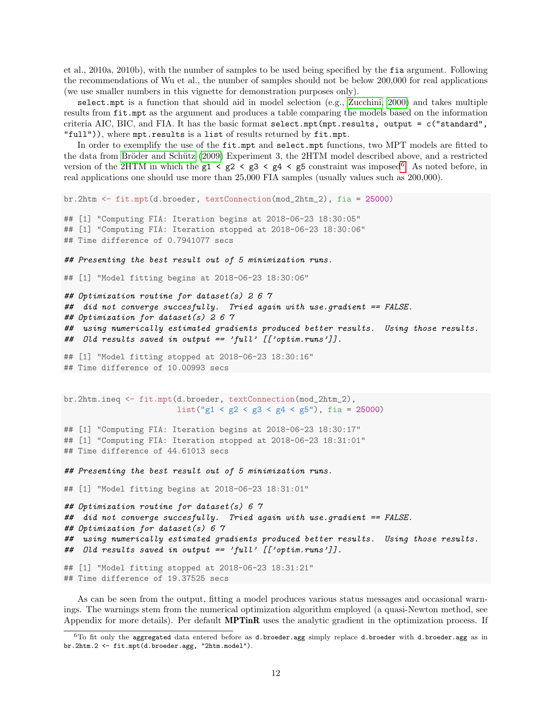et al., 2010a, 2010b), with the number of samples to be used being specified by the fia argument. Following the recommendations of Wu et al., the number of samples should not be below 200,000 for real applications (we use smaller numbers in this vignette for demonstration purposes only).

select.mpt is a function that should aid in model selection (e.g., [Zucchini, 2000\)](#page-29-2) and takes multiple results from fit.mpt as the argument and produces a table comparing the models based on the information criteria AIC, BIC, and FIA. It has the basic format select.mpt(mpt.results, output = c("standard", "full")), where mpt.results is a list of results returned by fit.mpt.

In order to exemplify the use of the fit.mpt and select.mpt functions, two MPT models are fitted to the data from Bröder and Schütz (2009) Experiment 3, the 2HTM model described above, and a restricted version of the 2HTM in which the  $g1 < g2 < g3 < g4 < g5$  constraint was imposed<sup>[6](#page-11-0)</sup>. As noted before, in real applications one should use more than 25,000 FIA samples (usually values such as 200,000).

```
br.2htm <- fit.mpt(d.broeder, textConnection(mod_2htm_2), fia = 25000)
## [1] "Computing FIA: Iteration begins at 2018-06-23 18:30:05"
## [1] "Computing FIA: Iteration stopped at 2018-06-23 18:30:06"
## Time difference of 0.7941077 secs
## Presenting the best result out of 5 minimization runs.
## [1] "Model fitting begins at 2018-06-23 18:30:06"
## Optimization routine for dataset(s) 2 6 7
## did not converge succesfully. Tried again with use.gradient == FALSE.
## Optimization for dataset(s) 2 6 7
## using numerically estimated gradients produced better results. Using those results.
## Old results saved in output == 'full' [['optim.runs']].
## [1] "Model fitting stopped at 2018-06-23 18:30:16"
## Time difference of 10.00993 secs
br.2htm.ineq <- fit.mpt(d.broeder, textConnection(mod_2htm_2),
                        list("g1 < g2 < g3 < g4 < g5"), fia = 25000)
## [1] "Computing FIA: Iteration begins at 2018-06-23 18:30:17"
## [1] "Computing FIA: Iteration stopped at 2018-06-23 18:31:01"
## Time difference of 44.61013 secs
## Presenting the best result out of 5 minimization runs.
## [1] "Model fitting begins at 2018-06-23 18:31:01"
## Optimization routine for dataset(s) 6 7
## did not converge succesfully. Tried again with use.gradient == FALSE.
## Optimization for dataset(s) 6 7
## using numerically estimated gradients produced better results. Using those results.
## Old results saved in output == 'full' [['optim.runs']].
```
## [1] "Model fitting stopped at 2018-06-23 18:31:21" ## Time difference of 19.37525 secs

As can be seen from the output, fitting a model produces various status messages and occasional warnings. The warnings stem from the numerical optimization algorithm employed (a quasi-Newton method, see Appendix for more details). Per default  $\text{MPT}$ inR uses the analytic gradient in the optimization process. If

<span id="page-11-0"></span> $6T$ o fit only the aggregated data entered before as d.broeder.agg simply replace d.broeder with d.broeder.agg as in br.2htm.2 <- fit.mpt(d.broeder.agg, "2htm.model").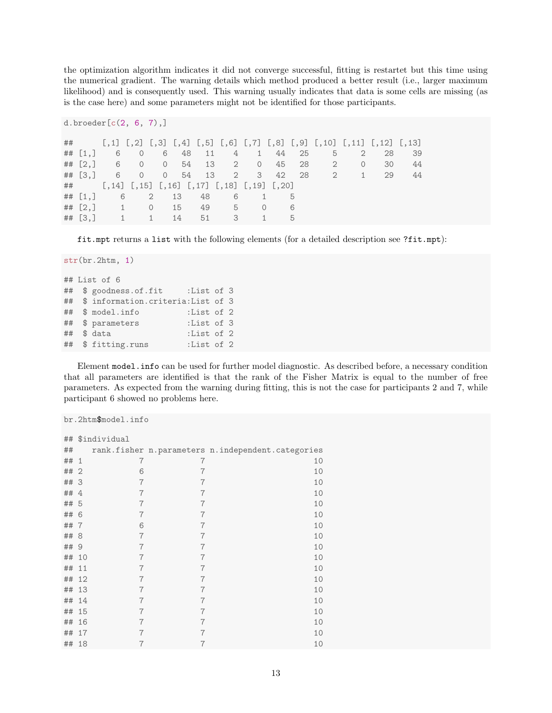the optimization algorithm indicates it did not converge successful, fitting is restartet but this time using the numerical gradient. The warning details which method produced a better result (i.e., larger maximum likelihood) and is consequently used. This warning usually indicates that data is some cells are missing (as is the case here) and some parameters might not be identified for those participants.

```
d.broeder[c(2, 6, 7),]
## [,1] [,2] [,3] [,4] [,5] [,6] [,7] [,8] [,9] [,10] [,11] [,12] [,13]
## [1,] 6 0 6 48 11 4 1 44 25 5 2 28 39
## [2,] 6 0 0 54 13 2 0 45 28 2 0 30 44
## [3,] 6 0 0 54 13 2 3 42 28 2 1 29 44
## [,14] [,15] [,16] [,17] [,18] [,19] [,20]
## [1,] 6 2 13 48 6 1 5
## [2,] 1 0 15 49 5 0 6
## [3,] 1 1 14 51 3 1 5
```
fit.mpt returns a list with the following elements (for a detailed description see ?fit.mpt):

```
str(br.2htm, 1)
## List of 6
## $ goodness.of.fit :List of 3
## $ information.criteria:List of 3
## $ model.info :List of 2
## $ parameters :List of 3
## $ data :List of 2
## $ fitting.runs :List of 2
```
Element model.info can be used for further model diagnostic. As described before, a necessary condition that all parameters are identified is that the rank of the Fisher Matrix is equal to the number of free parameters. As expected from the warning during fitting, this is not the case for participants 2 and 7, while participant 6 showed no problems here.

```
br.2htm$model.info
## $individual
## rank.fisher n.parameters n.independent.categories
## 1 7 7 10
## 2 6 7 10
## 3 7 7 10
## 4 7 7 10
## 5 7 7 10
## 6 7 7 10
## 7 6 7 10
## 8 7 7 10
## 9 7 7 10
## 10 7 7 10
## 11 7 7 10
## 12 7 7 10
## 13 7 7 10
## 14 7 7 10
## 15 7 7 10
## 16 7 7 10
## 17 7 7 10
## 18 7 7 10
```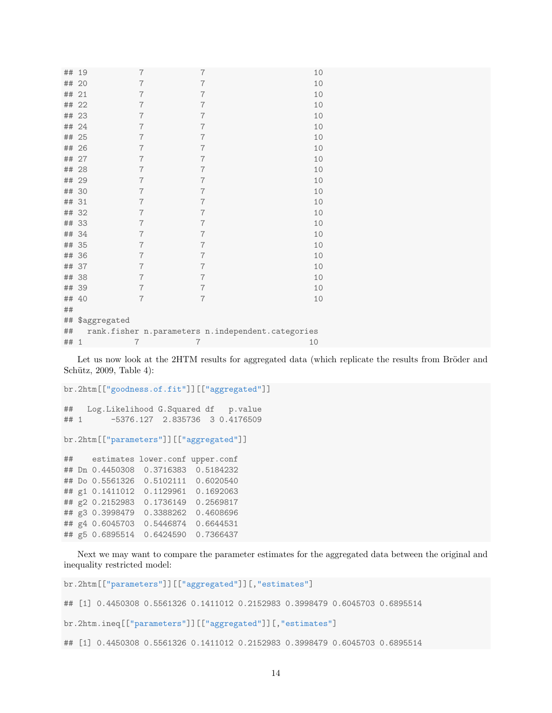| ## 19   |                 | 7              | $\overline{7}$                                    | 10 |
|---------|-----------------|----------------|---------------------------------------------------|----|
| ## 20   |                 | 7              | $\overline{7}$                                    | 10 |
| ## 21   |                 | 7              | $\overline{7}$                                    | 10 |
| ## 22   |                 | $\overline{7}$ | $\overline{7}$                                    | 10 |
| ## 23   |                 | $\overline{7}$ | $\overline{7}$                                    | 10 |
| ## 24   |                 | 7              | $\overline{7}$                                    | 10 |
| ## 25   |                 | $\overline{7}$ | $\overline{7}$                                    | 10 |
| ## 26   |                 | 7              | $\overline{7}$                                    | 10 |
| ## 27   |                 | $\overline{7}$ | $\overline{7}$                                    | 10 |
| ## 28   |                 | $\overline{7}$ | $\overline{7}$                                    | 10 |
| ## 29   |                 | 7              | $\overline{7}$                                    | 10 |
| ## 30   |                 | $\overline{7}$ | $\overline{7}$                                    | 10 |
| ## 31   |                 | 7              | $\overline{7}$                                    | 10 |
| ## 32   |                 | $\overline{7}$ | $\overline{7}$                                    | 10 |
| ## 33   |                 | 7              | $\overline{7}$                                    | 10 |
| ## 34   |                 | $\overline{7}$ | $\overline{7}$                                    | 10 |
| ## 35   |                 | $\overline{7}$ | $\overline{7}$                                    | 10 |
| ## 36   |                 | $\overline{7}$ | $\overline{7}$                                    | 10 |
| ## 37   |                 | 7              | 7                                                 | 10 |
| ## 38   |                 | 7              | $\overline{7}$                                    | 10 |
| ## 39   |                 | 7              | $\overline{7}$                                    | 10 |
| ## 40   |                 | $\overline{7}$ | 7                                                 | 10 |
| ##      |                 |                |                                                   |    |
|         | ## \$aggregated |                |                                                   |    |
| $\# \#$ |                 |                | rank.fisher n.parameters n.independent.categories |    |
| ## 1    |                 | 7              | 7                                                 | 10 |
|         |                 |                |                                                   |    |

Let us now look at the 2HTM results for aggregated data (which replicate the results from Bröder and Schütz,  $2009$ , Table 4):

```
br.2htm[["goodness.of.fit"]][["aggregated"]]
## Log.Likelihood G.Squared df p.value
## 1 -5376.127 2.835736 3 0.4176509
br.2htm[["parameters"]][["aggregated"]]
## estimates lower.conf upper.conf
## Dn 0.4450308 0.3716383 0.5184232
## Do 0.5561326 0.5102111 0.6020540
## g1 0.1411012 0.1129961 0.1692063
## g2 0.2152983 0.1736149 0.2569817
## g3 0.3998479 0.3388262 0.4608696
## g4 0.6045703 0.5446874 0.6644531
## g5 0.6895514 0.6424590 0.7366437
```
Next we may want to compare the parameter estimates for the aggregated data between the original and inequality restricted model:

br.2htm[["parameters"]][["aggregated"]][,"estimates"]

## [1] 0.4450308 0.5561326 0.1411012 0.2152983 0.3998479 0.6045703 0.6895514

br.2htm.ineq[["parameters"]][["aggregated"]][,"estimates"]

## [1] 0.4450308 0.5561326 0.1411012 0.2152983 0.3998479 0.6045703 0.6895514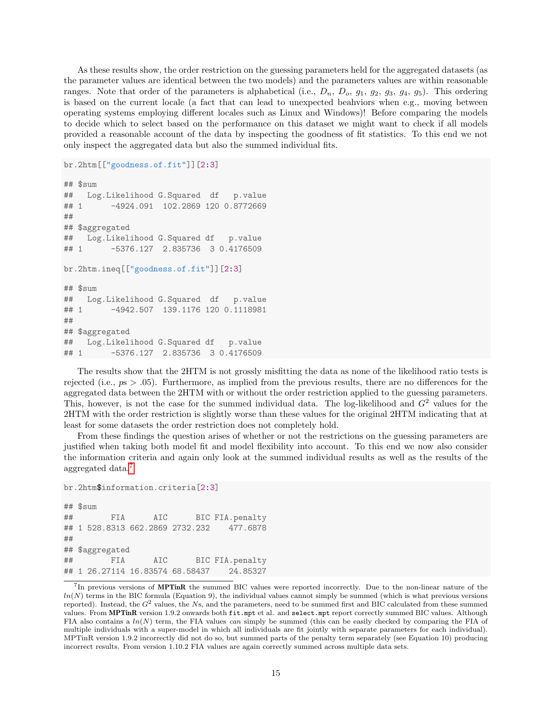As these results show, the order restriction on the guessing parameters held for the aggregated datasets (as the parameter values are identical between the two models) and the parameters values are within reasonable ranges. Note that order of the parameters is alphabetical (i.e.,  $D_n$ ,  $D_o$ ,  $g_1$ ,  $g_2$ ,  $g_3$ ,  $g_4$ ,  $g_5$ ). This ordering is based on the current locale (a fact that can lead to unexpected beahviors when e.g., moving between operating systems employing different locales such as Linux and Windows)! Before comparing the models to decide which to select based on the performance on this dataset we might want to check if all models provided a reasonable account of the data by inspecting the goodness of fit statistics. To this end we not only inspect the aggregated data but also the summed individual fits.

```
br.2htm[["goodness.of.fit"]][2:3]
```

```
## $sum
## Log.Likelihood G.Squared df p.value
## 1 -4924.091 102.2869 120 0.8772669
##
## $aggregated
## Log.Likelihood G.Squared df p.value
## 1 -5376.127 2.835736 3 0.4176509
br.2htm.ineq[["goodness.of.fit"]][2:3]
## $sum
## Log.Likelihood G.Squared df p.value
## 1 -4942.507 139.1176 120 0.1118981
##
## $aggregated
## Log.Likelihood G.Squared df p.value
## 1 -5376.127 2.835736 3 0.4176509
```
The results show that the 2HTM is not grossly misfitting the data as none of the likelihood ratio tests is rejected (i.e.,  $ps > .05$ ). Furthermore, as implied from the previous results, there are no differences for the aggregated data between the 2HTM with or without the order restriction applied to the guessing parameters. This, however, is not the case for the summed individual data. The log-likelihood and  $G<sup>2</sup>$  values for the 2HTM with the order restriction is slightly worse than these values for the original 2HTM indicating that at least for some datasets the order restriction does not completely hold.

From these findings the question arises of whether or not the restrictions on the guessing parameters are justified when taking both model fit and model flexibility into account. To this end we now also consider the information criteria and again only look at the summed individual results as well as the results of the aggregated data.<sup>[7](#page-14-0)</sup>

```
br.2htm$information.criteria[2:3]
## $sum
## FIA AIC BIC FIA.penalty
## 1 528.8313 662.2869 2732.232 477.6878
##
## $aggregated
## FIA AIC BIC FIA.penalty
## 1 26.27114 16.83574 68.58437 24.85327
```
<span id="page-14-0"></span><sup>&</sup>lt;sup>7</sup>In previous versions of MPTinR the summed BIC values were reported incorrectly. Due to the non-linear nature of the  $ln(N)$  terms in the BIC formula (Equation 9), the individual values cannot simply be summed (which is what previous versions reported). Instead, the  $G<sup>2</sup>$  values, the Ns, and the parameters, need to be summed first and BIC calculated from these summed values. From MPTinR version 1.9.2 onwards both fit.mpt et al. and select.mpt report correctly summed BIC values. Although FIA also contains a  $ln(N)$  term, the FIA values can simply be summed (this can be easily checked by comparing the FIA of multiple individuals with a super-model in which all individuals are fit jointly with separate parameters for each individual). MPTinR version 1.9.2 incorrectly did not do so, but summed parts of the penalty term separately (see Equation 10) producing incorrect results. From version 1.10.2 FIA values are again correctly summed across multiple data sets.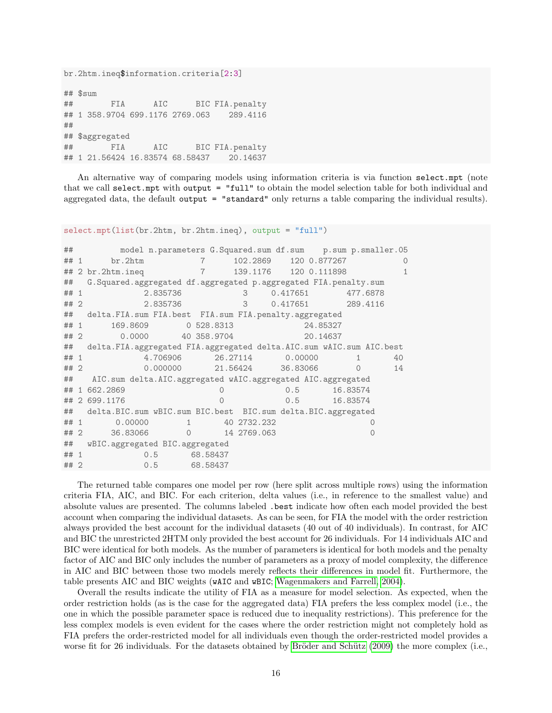br.2htm.ineq\$information.criteria[2:3] ## \$sum ## FIA AIC BIC FIA.penalty ## 1 358.9704 699.1176 2769.063 289.4116 ## ## \$aggregated ## FIA AIC BIC FIA.penalty ## 1 21.56424 16.83574 68.58437 20.14637

An alternative way of comparing models using information criteria is via function select.mpt (note that we call select.mpt with output = "full" to obtain the model selection table for both individual and aggregated data, the default output = "standard" only returns a table comparing the individual results).

select.mpt(list(br.2htm, br.2htm.ineq), output = "full")

| ##   |                                                                       |              |                    |             |              | model n.parameters G.Squared.sum df.sum p.sum p.smaller.05 |           |
|------|-----------------------------------------------------------------------|--------------|--------------------|-------------|--------------|------------------------------------------------------------|-----------|
| ## 1 | br.2htm                                                               |              | $\overline{7}$     | 102.2869    | 120 0.877267 |                                                            | $\Omega$  |
|      | ## 2 br.2htm.ineq                                                     |              | $\overline{7}$     | 139.1176    | 120 0.111898 |                                                            | 1         |
| ##   | G. Squared. aggregated df. aggregated p. aggregated FIA. penalty. sum |              |                    |             |              |                                                            |           |
| ## 1 |                                                                       | 2.835736     |                    | 3           | 0.417651     | 477.6878                                                   |           |
| ## 2 |                                                                       | 2.835736     |                    | 3           | 0.417651     | 289.4116                                                   |           |
|      | ## delta.FIA.sum FIA.best FIA.sum FIA.penalty.aggregated              |              |                    |             |              |                                                            |           |
| ## 1 | 169.8609                                                              |              | 0 528.8313         |             |              | 24.85327                                                   |           |
| ##2  |                                                                       |              | 0.0000 40 358.9704 |             |              | 20.14637                                                   |           |
| ##   | delta.FIA.aggregated FIA.aggregated delta.AIC.sum wAIC.sum AIC.best   |              |                    |             |              |                                                            |           |
| ## 1 |                                                                       | 4.706906     | 26.27114           |             | 0.00000      |                                                            | 40        |
| ##2  |                                                                       | 0.000000     |                    | 21.56424    | 36.83066     | $\Omega$                                                   | 14        |
|      | ## AIC.sum delta.AIC.aggregated wAIC.aggregated AIC.aggregated        |              |                    |             |              |                                                            |           |
|      | ## 1 662.2869                                                         |              | $\Omega$           |             | 0.5          | 16.83574                                                   |           |
|      | ## 2 699.1176                                                         |              | $\Omega$           |             | 0.5          | 16.83574                                                   |           |
| ##   | delta.BIC.sum wBIC.sum BIC.best BIC.sum delta.BIC.aggregated          |              |                    |             |              |                                                            |           |
| ## 1 | 0.00000                                                               | $\mathbf{1}$ |                    | 40 2732.232 |              |                                                            |           |
| ##2  | 36.83066                                                              | $\Omega$     |                    | 14 2769.063 |              |                                                            | $\bigcap$ |
| ##   | wBIC.aggregated BIC.aggregated                                        |              |                    |             |              |                                                            |           |
| ## 1 | 0.5                                                                   |              | 68.58437           |             |              |                                                            |           |
| ## 2 |                                                                       | 0.5          | 68.58437           |             |              |                                                            |           |

The returned table compares one model per row (here split across multiple rows) using the information criteria FIA, AIC, and BIC. For each criterion, delta values (i.e., in reference to the smallest value) and absolute values are presented. The columns labeled .best indicate how often each model provided the best account when comparing the individual datasets. As can be seen, for FIA the model with the order restriction always provided the best account for the individual datasets (40 out of 40 individuals). In contrast, for AIC and BIC the unrestricted 2HTM only provided the best account for 26 individuals. For 14 individuals AIC and BIC were identical for both models. As the number of parameters is identical for both models and the penalty factor of AIC and BIC only includes the number of parameters as a proxy of model complexity, the difference in AIC and BIC between those two models merely reflects their differences in model fit. Furthermore, the table presents AIC and BIC weights (wAIC and wBIC; [Wagenmakers and Farrell, 2004\)](#page-28-15).

Overall the results indicate the utility of FIA as a measure for model selection. As expected, when the order restriction holds (as is the case for the aggregated data) FIA prefers the less complex model (i.e., the one in which the possible parameter space is reduced due to inequality restrictions). This preference for the less complex models is even evident for the cases where the order restriction might not completely hold as FIA prefers the order-restricted model for all individuals even though the order-restricted model provides a worse fit for 26 individuals. For the datasets obtained by Bröder and Schütz (2009) the more complex (i.e.,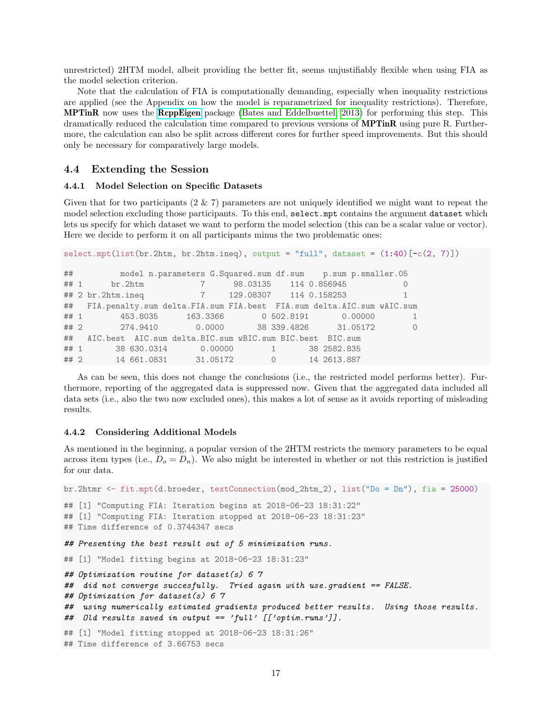unrestricted) 2HTM model, albeit providing the better fit, seems unjustifiably flexible when using FIA as the model selection criterion.

Note that the calculation of FIA is computationally demanding, especially when inequality restrictions are applied (see the Appendix on how the model is reparametrized for inequality restrictions). Therefore, MPTinR now uses the [RcppEigen](http://CRAN.R-project.org/package=RcppEigen) package [\(Bates and Eddelbuettel, 2013\)](#page-26-11) for performing this step. This dramatically reduced the calculation time compared to previous versions of MPTinR using pure R. Furthermore, the calculation can also be split across different cores for further speed improvements. But this should only be necessary for comparatively large models.

### 4.4 Extending the Session

#### 4.4.1 Model Selection on Specific Datasets

Given that for two participants  $(2 \& 7)$  parameters are not uniquely identified we might want to repeat the model selection excluding those participants. To this end, select.mpt contains the argument dataset which lets us specify for which dataset we want to perform the model selection (this can be a scalar value or vector). Here we decide to perform it on all participants minus the two problematic ones:

```
select.mpt(list(br.2htm, br.2htm.ineq), output = "full", dataset = (1:40) [-c(2, 7)])## model n.parameters G.Squared.sum df.sum p.sum p.smaller.05
## 1 br.2htm 7 98.03135 114 0.856945 0
## 2 br.2htm.ineq 7 129.08307 114 0.158253 1
## FIA.penalty.sum delta.FIA.sum FIA.best FIA.sum delta.AIC.sum wAIC.sum
## 1 453.8035 163.3366 0 502.8191 0.00000 1
## 2 274.9410 0.0000 38 339.4826 31.05172 0
## AIC.best AIC.sum delta.BIC.sum wBIC.sum BIC.best BIC.sum
## 1 38 630.0314 0.00000 1 38 2582.835
## 2 14 661.0831 31.05172 0 14 2613.887
```
As can be seen, this does not change the conclusions (i.e., the restricted model performs better). Furthermore, reporting of the aggregated data is suppressed now. Given that the aggregated data included all data sets (i.e., also the two now excluded ones), this makes a lot of sense as it avoids reporting of misleading results.

#### 4.4.2 Considering Additional Models

As mentioned in the beginning, a popular version of the 2HTM restricts the memory parameters to be equal across item types (i.e.,  $D_o = D_n$ ). We also might be interested in whether or not this restriction is justified for our data.

br.2htmr <- fit.mpt(d.broeder, textConnection(mod\_2htm\_2), list("Do = Dn"), fia = 25000) ## [1] "Computing FIA: Iteration begins at 2018-06-23 18:31:22" ## [1] "Computing FIA: Iteration stopped at 2018-06-23 18:31:23" ## Time difference of 0.3744347 secs *## Presenting the best result out of 5 minimization runs.* ## [1] "Model fitting begins at 2018-06-23 18:31:23" *## Optimization routine for dataset(s) 6 7 ## did not converge succesfully. Tried again with use.gradient == FALSE. ## Optimization for dataset(s) 6 7 ## using numerically estimated gradients produced better results. Using those results. ## Old results saved in output == 'full' [['optim.runs']].* ## [1] "Model fitting stopped at 2018-06-23 18:31:26" ## Time difference of 3.66753 secs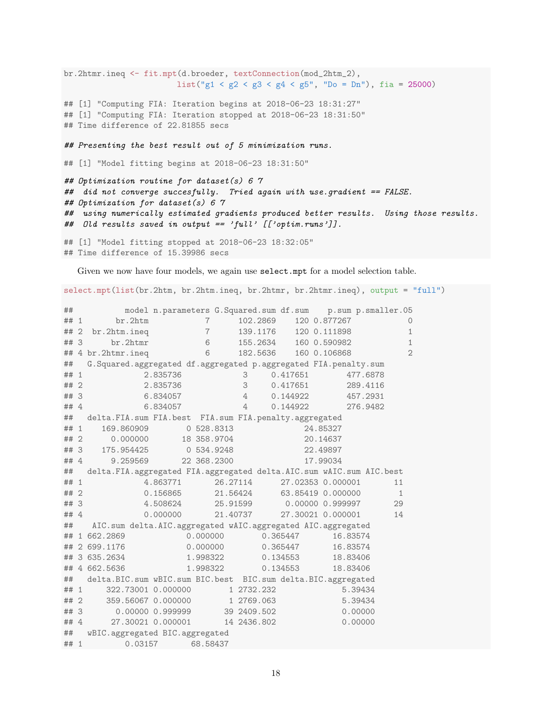```
br.2htmr.ineq <- fit.mpt(d.broeder, textConnection(mod_2htm_2),
                        list("g1 < g2 < g3 < g4 < g5", "Do = Dn"), fia = 25000)
## [1] "Computing FIA: Iteration begins at 2018-06-23 18:31:27"
## [1] "Computing FIA: Iteration stopped at 2018-06-23 18:31:50"
## Time difference of 22.81855 secs
## Presenting the best result out of 5 minimization runs.
## [1] "Model fitting begins at 2018-06-23 18:31:50"
## Optimization routine for dataset(s) 6 7
## did not converge succesfully. Tried again with use.gradient == FALSE.
## Optimization for dataset(s) 6 7
## using numerically estimated gradients produced better results. Using those results.
## Old results saved in output == 'full' [['optim.runs']].
## [1] "Model fitting stopped at 2018-06-23 18:32:05"
## Time difference of 15.39986 secs
```
Given we now have four models, we again use  $\texttt{select.mpt}$  for a model selection table.

select.mpt(list(br.2htm, br.2htm.ineq, br.2htmr, br.2htmr.ineq), output = "full")

| ##     |                                                                       |                               |                |                |          |                        | model n.parameters G.Squared.sum df.sum p.sum p.smaller.05 |
|--------|-----------------------------------------------------------------------|-------------------------------|----------------|----------------|----------|------------------------|------------------------------------------------------------|
| ## 1   | br.2htm                                                               |                               | $\overline{7}$ | 102.2869       |          | 120 0.877267           | $\circ$                                                    |
| ## 2   | br.2htm.ineq                                                          |                               | $\overline{7}$ |                |          | 139.1176  120 0.111898 | $\mathbf{1}$                                               |
| ##3    | br.2htmr                                                              |                               | 6              |                |          | 155.2634 160 0.590982  | $\mathbf{1}$                                               |
|        | ## 4 br.2htmr.ineq                                                    |                               | 6              | 182.5636       |          | 160 0.106868           | $\overline{2}$                                             |
| ##     | G. Squared. aggregated df. aggregated p. aggregated FIA. penalty. sum |                               |                |                |          |                        |                                                            |
| ## 1   |                                                                       | 2.835736                      |                | 3              | 0.417651 |                        | 477.6878                                                   |
| ## 2   |                                                                       | 2.835736                      |                | 3              | 0.417651 |                        | 289.4116                                                   |
| ## 3   |                                                                       | 6.834057                      |                | $\frac{4}{3}$  | 0.144922 |                        | 457.2931                                                   |
| ## $4$ |                                                                       | 6.834057                      |                | $\overline{4}$ | 0.144922 |                        | 276.9482                                                   |
| ##     | delta.FIA.sum FIA.best FIA.sum FIA.penalty.aggregated                 |                               |                |                |          |                        |                                                            |
| ## 1   | 169.860909                                                            |                               | 0 528.8313     |                |          | 24.85327               |                                                            |
| ##2    | 0.000000                                                              |                               | 18 358.9704    |                |          | 20.14637               |                                                            |
| ## 3   | 175.954425                                                            |                               | 0 534.9248     |                |          | 22.49897               |                                                            |
| ## 4   | 9.259569                                                              |                               | 22 368.2300    |                |          | 17.99034               |                                                            |
| ##     | delta.FIA.aggregated FIA.aggregated delta.AIC.sum wAIC.sum AIC.best   |                               |                |                |          |                        |                                                            |
| ## 1   |                                                                       | 4.863771                      | 26.27114       |                |          | 27.02353 0.000001      | 11                                                         |
| ## 2   |                                                                       | 0.156865                      |                | 21.56424       |          | 63.85419 0.000000      | $\mathbf{1}$                                               |
| ##3    |                                                                       | 4.508624                      |                | 25.91599       |          | 0.00000 0.999997       | 29                                                         |
| ## $4$ |                                                                       | 0.000000                      |                | 21.40737       |          | 27.30021 0.000001      | 14                                                         |
| ##     | AIC.sum delta.AIC.aggregated wAIC.aggregated AIC.aggregated           |                               |                |                |          |                        |                                                            |
|        | ## 1 662.2869                                                         |                               | 0.000000       |                | 0.365447 | 16.83574               |                                                            |
|        | ## 2 699.1176                                                         |                               | 0.000000       |                | 0.365447 | 16.83574               |                                                            |
|        | ## 3 635.2634                                                         |                               | 1.998322       |                | 0.134553 | 18.83406               |                                                            |
|        | ## 4 662.5636                                                         |                               | 1.998322       |                | 0.134553 | 18.83406               |                                                            |
| ##     | delta. BIC. sum wBIC. sum BIC. best BIC. sum delta. BIC. aggregated   |                               |                |                |          |                        |                                                            |
| ## 1   | 322.73001 0.000000                                                    |                               |                | 1 2732.232     |          |                        | 5.39434                                                    |
| ## 2   | 359.56067 0.000000                                                    |                               |                | 1 2769.063     |          | 5.39434                |                                                            |
| ##3    |                                                                       | 0.00000 0.999999              |                | 39 2409.502    |          | 0.00000                |                                                            |
| ## 4   |                                                                       | 27.30021 0.000001 14 2436.802 |                |                |          |                        | 0.00000                                                    |
| ##     | wBIC.aggregated BIC.aggregated                                        |                               |                |                |          |                        |                                                            |
| ## 1   |                                                                       | 0.03157                       | 68.58437       |                |          |                        |                                                            |
|        |                                                                       |                               |                |                |          |                        |                                                            |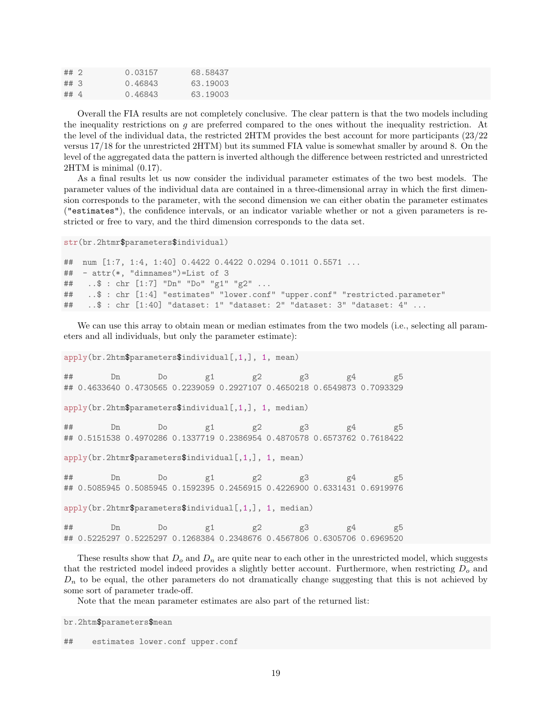| ## 2 | 0.03157 | 68.58437 |
|------|---------|----------|
| ##3  | 0.46843 | 63.19003 |
| ## 4 | 0.46843 | 63.19003 |

Overall the FIA results are not completely conclusive. The clear pattern is that the two models including the inequality restrictions on q are preferred compared to the ones without the inequality restriction. At the level of the individual data, the restricted 2HTM provides the best account for more participants (23/22 versus 17/18 for the unrestricted 2HTM) but its summed FIA value is somewhat smaller by around 8. On the level of the aggregated data the pattern is inverted although the difference between restricted and unrestricted 2HTM is minimal (0.17).

As a final results let us now consider the individual parameter estimates of the two best models. The parameter values of the individual data are contained in a three-dimensional array in which the first dimension corresponds to the parameter, with the second dimension we can either obatin the parameter estimates ("estimates"), the confidence intervals, or an indicator variable whether or not a given parameters is restricted or free to vary, and the third dimension corresponds to the data set.

```
str(br.2htmr$parameters$individual)
```

```
## num [1:7, 1:4, 1:40] 0.4422 0.4422 0.0294 0.1011 0.5571 ...
## - attr(*, "dimnames")=List of 3
## ..$ : chr [1:7] "Dn" "Do" "g1" "g2" ...
## ..$ : chr [1:4] "estimates" "lower.conf" "upper.conf" "restricted.parameter"
## ..$ : chr [1:40] "dataset: 1" "dataset: 2" "dataset: 3" "dataset: 4" ...
```
We can use this array to obtain mean or median estimates from the two models (i.e., selecting all parameters and all individuals, but only the parameter estimate):

apply(br.2htm\$parameters\$individual[,1,], 1, mean) ## Dn Do g1 g2 g3 g4 g5 ## 0.4633640 0.4730565 0.2239059 0.2927107 0.4650218 0.6549873 0.7093329 apply(br.2htm\$parameters\$individual[,1,], 1, median) ## Dn Do g1 g2 g3 g4 g5 ## 0.5151538 0.4970286 0.1337719 0.2386954 0.4870578 0.6573762 0.7618422 apply(br.2htmr\$parameters\$individual[,1,], 1, mean) ## Dn Do g1 g2 g3 g4 g5 ## 0.5085945 0.5085945 0.1592395 0.2456915 0.4226900 0.6331431 0.6919976 apply(br.2htmr\$parameters\$individual[,1,], 1, median) ## Dn Do g1 g2 g3 g4 g5 ## 0.5225297 0.5225297 0.1268384 0.2348676 0.4567806 0.6305706 0.6969520

These results show that  $D<sub>o</sub>$  and  $D<sub>n</sub>$  are quite near to each other in the unrestricted model, which suggests that the restricted model indeed provides a slightly better account. Furthermore, when restricting  $D<sub>o</sub>$  and  $D_n$  to be equal, the other parameters do not dramatically change suggesting that this is not achieved by some sort of parameter trade-off.

Note that the mean parameter estimates are also part of the returned list:

```
br.2htm$parameters$mean
```
## estimates lower.conf upper.conf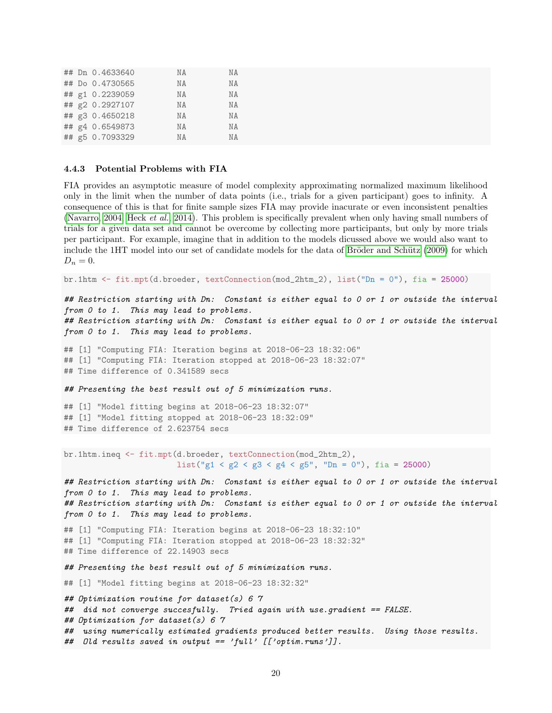|  | ## Dn 0.4633640 | NA | ΝA |
|--|-----------------|----|----|
|  | ## Do 0.4730565 | NA | NA |
|  | ## g1 0.2239059 | NA | NA |
|  | ## g2 0.2927107 | NA | NA |
|  | ## g3 0.4650218 | NA | NA |
|  | ## g4 0.6549873 | NA | NA |
|  | ## g5 0.7093329 | NA | ΝA |
|  |                 |    |    |

#### 4.4.3 Potential Problems with FIA

FIA provides an asymptotic measure of model complexity approximating normalized maximum likelihood only in the limit when the number of data points (i.e., trials for a given participant) goes to infinity. A consequence of this is that for finite sample sizes FIA may provide inacurate or even inconsistent penalties [\(Navarro, 2004;](#page-27-13) [Heck](#page-27-14) *et al.*, [2014\)](#page-27-14). This problem is specifically prevalent when only having small numbers of trials for a given data set and cannot be overcome by collecting more participants, but only by more trials per participant. For example, imagine that in addition to the models dicussed above we would also want to include the 1HT model into our set of candidate models for the data of Bröder and Schütz (2009) for which  $D_n = 0.$ 

```
br.1htm <- fit.mpt(d.broeder, textConnection(mod_2htm_2), list("Dn = 0"), fia = 25000)
```
*## Restriction starting with Dn: Constant is either equal to 0 or 1 or outside the interval from 0 to 1. This may lead to problems. ## Restriction starting with Dn: Constant is either equal to 0 or 1 or outside the interval from 0 to 1. This may lead to problems.*

## [1] "Computing FIA: Iteration begins at 2018-06-23 18:32:06" ## [1] "Computing FIA: Iteration stopped at 2018-06-23 18:32:07" ## Time difference of 0.341589 secs

*## Presenting the best result out of 5 minimization runs.*

## [1] "Model fitting begins at 2018-06-23 18:32:07" ## [1] "Model fitting stopped at 2018-06-23 18:32:09" ## Time difference of 2.623754 secs

br.1htm.ineq <- fit.mpt(d.broeder, textConnection(mod\_2htm\_2), list("g1 < g2 < g3 < g4 < g5", "Dn = 0"), fia = 25000)

*## Restriction starting with Dn: Constant is either equal to 0 or 1 or outside the interval from 0 to 1. This may lead to problems. ## Restriction starting with Dn: Constant is either equal to 0 or 1 or outside the interval from 0 to 1. This may lead to problems.*

## [1] "Computing FIA: Iteration begins at 2018-06-23 18:32:10" ## [1] "Computing FIA: Iteration stopped at 2018-06-23 18:32:32" ## Time difference of 22.14903 secs

*## Presenting the best result out of 5 minimization runs.*

## [1] "Model fitting begins at 2018-06-23 18:32:32"

*## Optimization routine for dataset(s) 6 7 ## did not converge succesfully. Tried again with use.gradient == FALSE. ## Optimization for dataset(s) 6 7 ## using numerically estimated gradients produced better results. Using those results. ## Old results saved in output == 'full' [['optim.runs']].*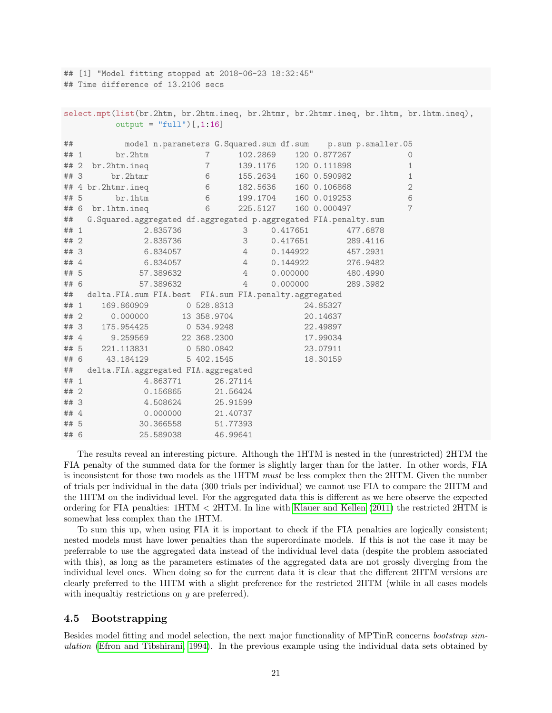## [1] "Model fitting stopped at 2018-06-23 18:32:45" ## Time difference of 13.2106 secs

select.mpt(list(br.2htm, br.2htm.ineq, br.2htmr, br.2htmr.ineq, br.1htm, br.1htm.ineq),  $output = "full") [$ , 1:16]

| ##   |                                                                       | model n.parameters G.Squared.sum df.sum p.sum p.smaller.05 |                |                |          |          |              |          |                |
|------|-----------------------------------------------------------------------|------------------------------------------------------------|----------------|----------------|----------|----------|--------------|----------|----------------|
| ## 1 | br.2htm                                                               |                                                            | $\overline{7}$ |                | 102.2869 |          | 120 0.877267 |          | 0              |
| ##2  | br.2htm.ineq                                                          |                                                            | $\overline{7}$ |                | 139.1176 |          | 120 0.111898 |          | 1              |
| ## 3 | br.2htmr                                                              |                                                            | 6              |                | 155.2634 |          | 160 0.590982 |          | $\mathbf{1}$   |
| ##   | 4 br.2htmr.ineq                                                       |                                                            | 6              |                | 182.5636 |          | 160 0.106868 |          | $\mathbf{2}$   |
| ## 5 | br.1htm                                                               |                                                            | 6              |                | 199.1704 |          | 160 0.019253 |          | $\,6$          |
| ## 6 | br.1htm.ineq                                                          |                                                            | 6              |                | 225.5127 |          | 160 0.000497 |          | $\overline{7}$ |
| ##   | G. Squared. aggregated df. aggregated p. aggregated FIA. penalty. sum |                                                            |                |                |          |          |              |          |                |
| ## 1 |                                                                       | 2.835736                                                   |                | 3              |          | 0.417651 |              | 477.6878 |                |
| ## 2 |                                                                       | 2.835736                                                   |                | 3              |          | 0.417651 |              | 289.4116 |                |
| ## 3 |                                                                       | 6.834057                                                   |                | 4              |          | 0.144922 |              | 457.2931 |                |
| ## 4 |                                                                       | 6.834057                                                   |                | $\overline{4}$ |          | 0.144922 |              | 276.9482 |                |
| ## 5 |                                                                       | 57.389632                                                  |                | $\overline{4}$ |          | 0.000000 |              | 480.4990 |                |
| ## 6 |                                                                       | 57.389632                                                  |                | $\overline{4}$ |          | 0.000000 |              | 289.3982 |                |
| ##   | delta.FIA.sum FIA.best FIA.sum FIA.penalty.aggregated                 |                                                            |                |                |          |          |              |          |                |
| ## 1 | 169.860909                                                            |                                                            | 0 528.8313     |                |          |          | 24.85327     |          |                |
| ## 2 | 0.000000                                                              |                                                            | 13 358.9704    |                |          |          | 20.14637     |          |                |
| ## 3 | 175.954425                                                            |                                                            | 0 534.9248     |                |          |          | 22.49897     |          |                |
| ## 4 | 9.259569                                                              |                                                            | 22 368.2300    |                |          |          | 17.99034     |          |                |
| ## 5 | 221.113831                                                            |                                                            | 0 580.0842     |                |          |          | 23.07911     |          |                |
| ## 6 | 43.184129                                                             |                                                            | 5 402.1545     |                |          |          | 18.30159     |          |                |
| ##   | delta.FIA.aggregated FIA.aggregated                                   |                                                            |                |                |          |          |              |          |                |
| ## 1 |                                                                       | 4.863771                                                   | 26.27114       |                |          |          |              |          |                |
| ## 2 |                                                                       | 0.156865                                                   | 21.56424       |                |          |          |              |          |                |
| ## 3 |                                                                       | 4.508624                                                   | 25.91599       |                |          |          |              |          |                |
| ## 4 |                                                                       | 0.000000                                                   | 21.40737       |                |          |          |              |          |                |
| ## 5 |                                                                       | 30.366558                                                  | 51.77393       |                |          |          |              |          |                |
| ## 6 |                                                                       | 25.589038                                                  | 46.99641       |                |          |          |              |          |                |

The results reveal an interesting picture. Although the 1HTM is nested in the (unrestricted) 2HTM the FIA penalty of the summed data for the former is slightly larger than for the latter. In other words, FIA is inconsistent for those two models as the 1HTM *must* be less complex then the 2HTM. Given the number of trials per individual in the data (300 trials per individual) we cannot use FIA to compare the 2HTM and the 1HTM on the individual level. For the aggregated data this is different as we here observe the expected ordering for FIA penalties: 1HTM < 2HTM. In line with [Klauer and Kellen \(2011\)](#page-27-6) the restricted 2HTM is somewhat less complex than the 1HTM.

To sum this up, when using FIA it is important to check if the FIA penalties are logically consistent; nested models must have lower penalties than the superordinate models. If this is not the case it may be preferrable to use the aggregated data instead of the individual level data (despite the problem associated with this), as long as the parameters estimates of the aggregated data are not grossly diverging from the individual level ones. When doing so for the current data it is clear that the different 2HTM versions are clearly preferred to the 1HTM with a slight preference for the restricted 2HTM (while in all cases models with inequaltiy restrictions on  $g$  are preferred).

## 4.5 Bootstrapping

Besides model fitting and model selection, the next major functionality of MPTinR concerns *bootstrap simulation* [\(Efron and Tibshirani, 1994\)](#page-26-3). In the previous example using the individual data sets obtained by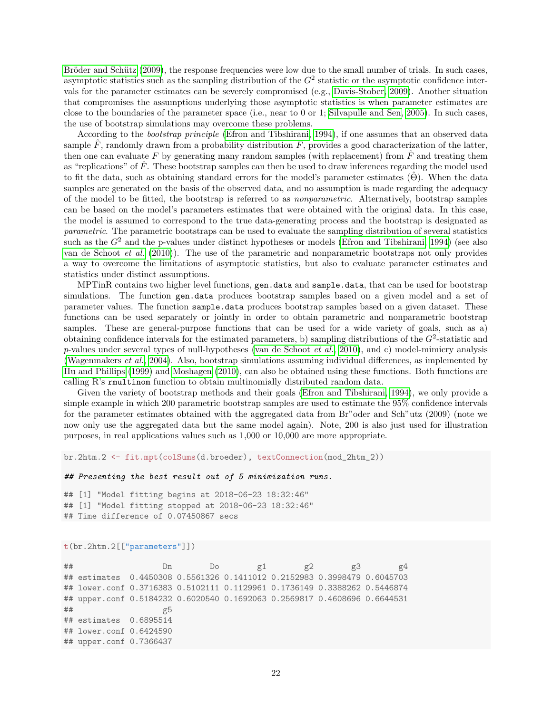Bröder and Schütz (2009), the response frequencies were low due to the small number of trials. In such cases, asymptotic statistics such as the sampling distribution of the  $G<sup>2</sup>$  statistic or the asymptotic confidence intervals for the parameter estimates can be severely compromised (e.g., [Davis-Stober, 2009\)](#page-26-12). Another situation that compromises the assumptions underlying those asymptotic statistics is when parameter estimates are close to the boundaries of the parameter space (i.e., near to 0 or 1; [Silvapulle and Sen, 2005\)](#page-28-6). In such cases, the use of bootstrap simulations may overcome these problems.

According to the *bootstrap principle* [\(Efron and Tibshirani, 1994\)](#page-26-3), if one assumes that an observed data sample  $\hat{F}$ , randomly drawn from a probability distribution  $F$ , provides a good characterization of the latter, then one can evaluate F by generating many random samples (with replacement) from  $\hat{F}$  and treating them as "replications" of  $\hat{F}$ . These bootstrap samples can then be used to draw inferences regarding the model used to fit the data, such as obtaining standard errors for the model's parameter estimates  $(\hat{\Theta})$ . When the data samples are generated on the basis of the observed data, and no assumption is made regarding the adequacy of the model to be fitted, the bootstrap is referred to as *nonparametric*. Alternatively, bootstrap samples can be based on the model's parameters estimates that were obtained with the original data. In this case, the model is assumed to correspond to the true data-generating process and the bootstrap is designated as *parametric*. The parametric bootstraps can be used to evaluate the sampling distribution of several statistics such as the  $G<sup>2</sup>$  and the p-values under distinct hypotheses or models [\(Efron and Tibshirani, 1994\)](#page-26-3) (see also [van de Schoot](#page-28-16) *et al.* [\(2010\)](#page-28-16)). The use of the parametric and nonparametric bootstraps not only provides a way to overcome the limitations of asymptotic statistics, but also to evaluate parameter estimates and statistics under distinct assumptions.

MPTinR contains two higher level functions, gen.data and sample.data, that can be used for bootstrap simulations. The function gen.data produces bootstrap samples based on a given model and a set of parameter values. The function sample.data produces bootstrap samples based on a given dataset. These functions can be used separately or jointly in order to obtain parametric and nonparametric bootstrap samples. These are general-purpose functions that can be used for a wide variety of goals, such as a) obtaining confidence intervals for the estimated parameters, b) sampling distributions of the  $G^2$ -statistic and p-values under several types of null-hypotheses [\(van de Schoot](#page-28-16) *et al.*, [2010\)](#page-28-16), and c) model-mimicry analysis [\(Wagenmakers](#page-28-17) *et al.*, [2004\)](#page-28-17). Also, bootstrap simulations assuming individual differences, as implemented by [Hu and Phillips \(1999\)](#page-27-8) and [Moshagen \(2010\)](#page-27-3), can also be obtained using these functions. Both functions are calling R's rmultinom function to obtain multinomially distributed random data.

Given the variety of bootstrap methods and their goals [\(Efron and Tibshirani, 1994\)](#page-26-3), we only provide a simple example in which 200 parametric bootstrap samples are used to estimate the 95% confidence intervals for the parameter estimates obtained with the aggregated data from Br"oder and Sch"utz (2009) (note we now only use the aggregated data but the same model again). Note, 200 is also just used for illustration purposes, in real applications values such as 1,000 or 10,000 are more appropriate.

```
br.2htm.2 <- fit.mpt(colSums(d.broeder), textConnection(mod_2htm_2))
```
#### *## Presenting the best result out of 5 minimization runs.*

```
## [1] "Model fitting begins at 2018-06-23 18:32:46"
## [1] "Model fitting stopped at 2018-06-23 18:32:46"
## Time difference of 0.07450867 secs
```
#### t(br.2htm.2[["parameters"]])

## Dn Do g1 g2 g3 g4 ## estimates 0.4450308 0.5561326 0.1411012 0.2152983 0.3998479 0.6045703 ## lower.conf 0.3716383 0.5102111 0.1129961 0.1736149 0.3388262 0.5446874 ## upper.conf 0.5184232 0.6020540 0.1692063 0.2569817 0.4608696 0.6644531 ## g5 ## estimates 0.6895514 ## lower.conf 0.6424590 ## upper.conf 0.7366437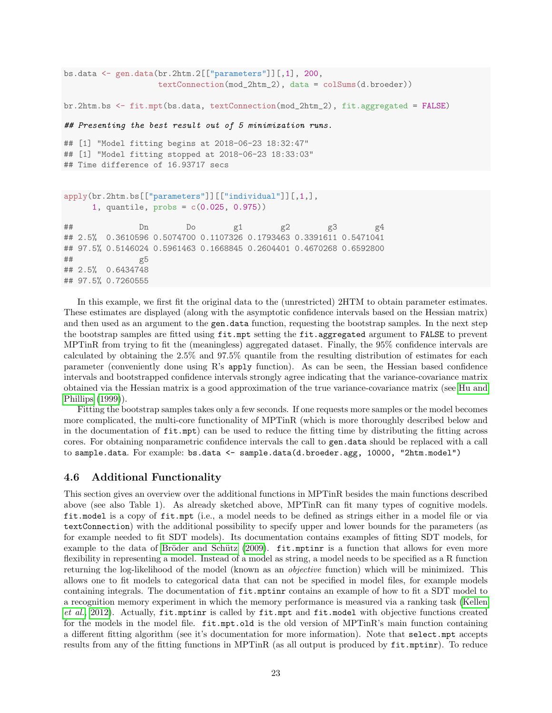```
bs.data <- gen.data(br.2htm.2[["parameters"]][,1], 200,
                  textConnection(mod_2htm_2), data = colSums(d.broeder))
br.2htm.bs <- fit.mpt(bs.data, textConnection(mod_2htm_2), fit.aggregated = FALSE)
## Presenting the best result out of 5 minimization runs.
## [1] "Model fitting begins at 2018-06-23 18:32:47"
## [1] "Model fitting stopped at 2018-06-23 18:33:03"
## Time difference of 16.93717 secs
apply(br.2htm.bs[["parameters"]][["individual"]][,1,],
     1, quantile, probs = c(0.025, 0.975))
## Dn Do g1 g2 g3 g4
## 2.5% 0.3610596 0.5074700 0.1107326 0.1793463 0.3391611 0.5471041
## 97.5% 0.5146024 0.5961463 0.1668845 0.2604401 0.4670268 0.6592800
## g5
## 2.5% 0.6434748
## 97.5% 0.7260555
```
In this example, we first fit the original data to the (unrestricted) 2HTM to obtain parameter estimates. These estimates are displayed (along with the asymptotic confidence intervals based on the Hessian matrix) and then used as an argument to the **gen.data** function, requesting the bootstrap samples. In the next step the bootstrap samples are fitted using fit.mpt setting the fit.aggregated argument to FALSE to prevent MPTinR from trying to fit the (meaningless) aggregated dataset. Finally, the 95% confidence intervals are calculated by obtaining the 2.5% and 97.5% quantile from the resulting distribution of estimates for each parameter (conveniently done using R's apply function). As can be seen, the Hessian based confidence intervals and bootstrapped confidence intervals strongly agree indicating that the variance-covariance matrix obtained via the Hessian matrix is a good approximation of the true variance-covariance matrix (see [Hu and](#page-27-8) [Phillips \(1999\)](#page-27-8)).

Fitting the bootstrap samples takes only a few seconds. If one requests more samples or the model becomes more complicated, the multi-core functionality of MPTinR (which is more thoroughly described below and in the documentation of fit.mpt) can be used to reduce the fitting time by distributing the fitting across cores. For obtaining nonparametric confidence intervals the call to gen.data should be replaced with a call to sample.data. For example: bs.data <- sample.data(d.broeder.agg, 10000, "2htm.model")

## 4.6 Additional Functionality

This section gives an overview over the additional functions in MPTinR besides the main functions described above (see also Table 1). As already sketched above, MPTinR can fit many types of cognitive models. fit.model is a copy of fit.mpt (i.e., a model needs to be defined as strings either in a model file or via textConnection) with the additional possibility to specify upper and lower bounds for the parameters (as for example needed to fit SDT models). Its documentation contains examples of fitting SDT models, for example to the data of Bröder and Schütz (2009). fit.mptinr is a function that allows for even more flexibility in representing a model. Instead of a model as string, a model needs to be specified as a R function returning the log-likelihood of the model (known as an *objective* function) which will be minimized. This allows one to fit models to categorical data that can not be specified in model files, for example models containing integrals. The documentation of fit.mptinr contains an example of how to fit a SDT model to a recognition memory experiment in which the memory performance is measured via a ranking task [\(Kellen](#page-27-15) *[et al.](#page-27-15)*, [2012\)](#page-27-15). Actually, fit.mptinr is called by fit.mpt and fit.model with objective functions created for the models in the model file. fit.mpt.old is the old version of MPTinR's main function containing a different fitting algorithm (see it's documentation for more information). Note that select.mpt accepts results from any of the fitting functions in MPTinR (as all output is produced by fit.mptinr). To reduce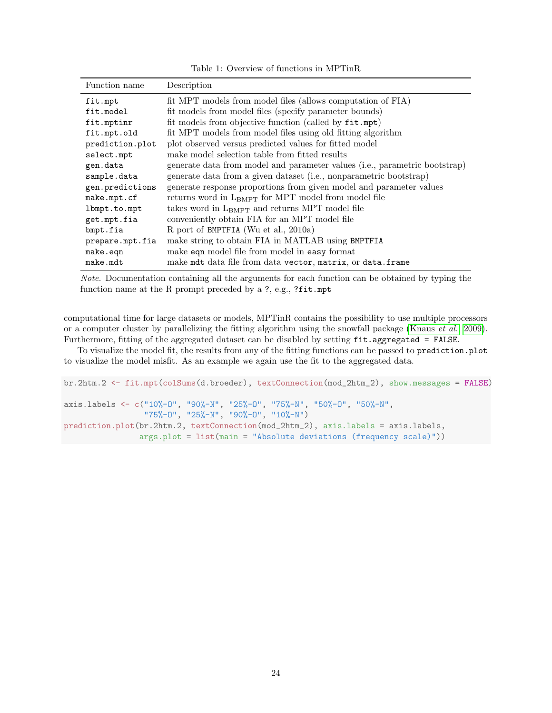| Function name   | Description                                                                |
|-----------------|----------------------------------------------------------------------------|
| fit.mpt         | fit MPT models from model files (allows computation of FIA)                |
| fit.model       | fit models from model files (specify parameter bounds)                     |
| fit.mptinr      | fit models from objective function (called by fit.mpt)                     |
| fit.mpt.old     | fit MPT models from model files using old fitting algorithm                |
| prediction.plot | plot observed versus predicted values for fitted model                     |
| select.mpt      | make model selection table from fitted results                             |
| gen.data        | generate data from model and parameter values (i.e., parametric bootstrap) |
| sample.data     | generate data from a given dataset (i.e., nonparametric bootstrap)         |
| gen.predictions | generate response proportions from given model and parameter values        |
| make.mpt.cf     | returns word in L <sub>BMPT</sub> for MPT model from model file            |
| lbmpt.to.mpt    | takes word in L <sub>BMPT</sub> and returns MPT model file                 |
| get.mpt.fia     | conveniently obtain FIA for an MPT model file                              |
| bmpt.fia        | R port of BMPTFIA (Wu et al., 2010a)                                       |
| prepare.mpt.fia | make string to obtain FIA in MATLAB using BMPTFIA                          |
| make.eqn        | make eqn model file from model in easy format                              |
| make.mdt        | make mdt data file from data vector, matrix, or data.frame                 |

Table 1: Overview of functions in MPTinR

*Note.* Documentation containing all the arguments for each function can be obtained by typing the function name at the R prompt preceded by a ?, e.g., ?fit.mpt

computational time for large datasets or models, MPTinR contains the possibility to use multiple processors or a computer cluster by parallelizing the fitting algorithm using the snowfall package [\(Knaus](#page-27-16) *et al.*, [2009\)](#page-27-16). Furthermore, fitting of the aggregated dataset can be disabled by setting fit.aggregated = FALSE.

To visualize the model fit, the results from any of the fitting functions can be passed to prediction.plot to visualize the model misfit. As an example we again use the fit to the aggregated data.

```
br.2htm.2 <- fit.mpt(colSums(d.broeder), textConnection(mod_2htm_2), show.messages = FALSE)
axis.labels <- c("10%-O", "90%-N", "25%-O", "75%-N", "50%-O", "50%-N",
                 "75%-O", "25%-N", "90%-O", "10%-N")
prediction.plot(br.2htm.2, textConnection(mod_2htm_2), axis.labels = axis.labels,
                args.plot = list(main = "Absolute deviations (frequency scale)"))
```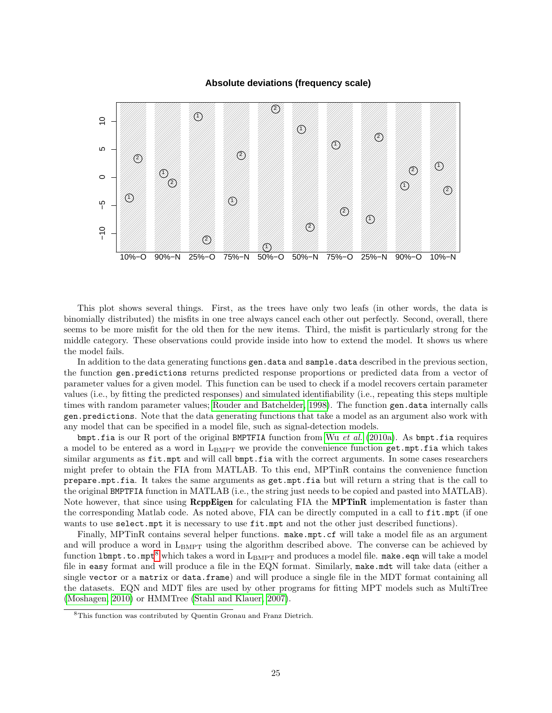### **Absolute deviations (frequency scale)**



This plot shows several things. First, as the trees have only two leafs (in other words, the data is binomially distributed) the misfits in one tree always cancel each other out perfectly. Second, overall, there seems to be more misfit for the old then for the new items. Third, the misfit is particularly strong for the middle category. These observations could provide inside into how to extend the model. It shows us where the model fails.

In addition to the data generating functions gen.data and sample.data described in the previous section, the function gen.predictions returns predicted response proportions or predicted data from a vector of parameter values for a given model. This function can be used to check if a model recovers certain parameter values (i.e., by fitting the predicted responses) and simulated identifiability (i.e., repeating this steps multiple times with random parameter values; [Rouder and Batchelder, 1998\)](#page-28-18). The function gen.data internally calls gen.predictions. Note that the data generating functions that take a model as an argument also work with any model that can be specified in a model file, such as signal-detection models.

bmpt.fia is our R port of the original BMPTFIA function from Wu *[et al.](#page-29-0)* [\(2010a\)](#page-29-0). As bmpt.fia requires a model to be entered as a word in  $L_{BMPT}$  we provide the convenience function  $get.\text{mpt.fia}$  which takes similar arguments as  $fit$ .mpt and will call bmpt.fia with the correct arguments. In some cases researchers might prefer to obtain the FIA from MATLAB. To this end, MPTinR contains the convenience function prepare.mpt.fia. It takes the same arguments as get.mpt.fia but will return a string that is the call to the original BMPTFIA function in MATLAB (i.e., the string just needs to be copied and pasted into MATLAB). Note however, that since using **ReppEigen** for calculating FIA the **MPTinR** implementation is faster than the corresponding Matlab code. As noted above, FIA can be directly computed in a call to fit.mpt (if one wants to use select.mpt it is necessary to use fit.mpt and not the other just described functions).

Finally, MPTinR contains several helper functions. make.mpt.cf will take a model file as an argument and will produce a word in  $L_{\text{BMPT}}$  using the algorithm described above. The converse can be achieved by function 1bmpt.to.mpt<sup>[8](#page-24-0)</sup> which takes a word in  $L_{\rm BMPT}$  and produces a model file. make.eqn will take a model file in easy format and will produce a file in the EQN format. Similarly, make.mdt will take data (either a single vector or a matrix or data.frame) and will produce a single file in the MDT format containing all the datasets. EQN and MDT files are used by other programs for fitting MPT models such as MultiTree [\(Moshagen, 2010\)](#page-27-3) or HMMTree [\(Stahl and Klauer, 2007\)](#page-28-12).

<span id="page-24-0"></span><sup>8</sup>This function was contributed by Quentin Gronau and Franz Dietrich.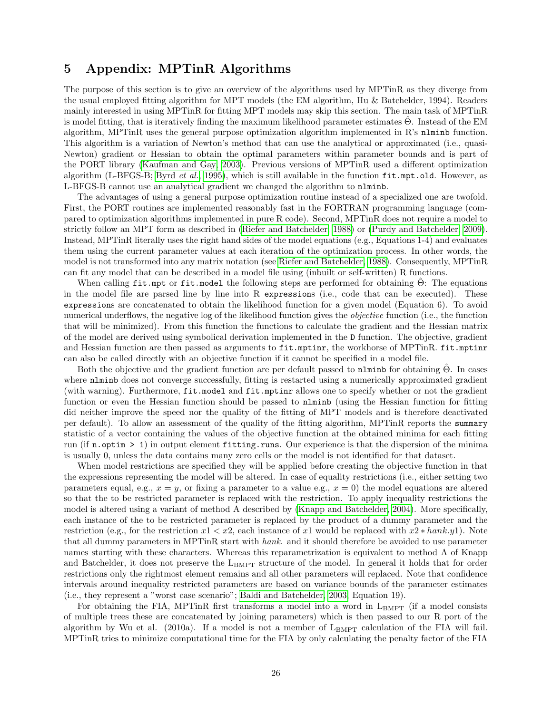# 5 Appendix: MPTinR Algorithms

The purpose of this section is to give an overview of the algorithms used by MPTinR as they diverge from the usual employed fitting algorithm for MPT models (the EM algorithm, Hu & Batchelder, 1994). Readers mainly interested in using MPTinR for fitting MPT models may skip this section. The main task of MPTinR is model fitting, that is iteratively finding the maximum likelihood parameter estimates  $\Theta$ . Instead of the EM algorithm, MPTinR uses the general purpose optimization algorithm implemented in R's nlminb function. This algorithm is a variation of Newton's method that can use the analytical or approximated (i.e., quasi-Newton) gradient or Hessian to obtain the optimal parameters within parameter bounds and is part of the PORT library [\(Kaufman and Gay, 2003\)](#page-27-17). Previous versions of MPTinR used a different optimization algorithm (L-BFGS-B; [Byrd](#page-26-13) *et al.*, [1995\)](#page-26-13), which is still available in the function fit.mpt.old. However, as L-BFGS-B cannot use an analytical gradient we changed the algorithm to nlminb.

The advantages of using a general purpose optimization routine instead of a specialized one are twofold. First, the PORT routines are implemented reasonably fast in the FORTRAN programming language (compared to optimization algorithms implemented in pure R code). Second, MPTinR does not require a model to strictly follow an MPT form as described in [\(Riefer and Batchelder,](#page-28-0) [1988\)](#page-28-0) or [\(Purdy and Batchelder, 2009\)](#page-27-1). Instead, MPTinR literally uses the right hand sides of the model equations (e.g., Equations 1-4) and evaluates them using the current parameter values at each iteration of the optimization process. In other words, the model is not transformed into any matrix notation (see [Riefer and Batchelder, 1988\)](#page-28-0). Consequently, MPTinR can fit any model that can be described in a model file using (inbuilt or self-written) R functions.

When calling  $fit$ .mpt or  $fit$ .model the following steps are performed for obtaining  $\Theta$ : The equations in the model file are parsed line by line into R expressions (i.e., code that can be executed). These expressions are concatenated to obtain the likelihood function for a given model (Equation 6). To avoid numerical underflows, the negative log of the likelihood function gives the *objective* function (i.e., the function that will be minimized). From this function the functions to calculate the gradient and the Hessian matrix of the model are derived using symbolical derivation implemented in the D function. The objective, gradient and Hessian function are then passed as arguments to  $fit$ .mptinr, the workhorse of MPTinR.  $fit$ .mptinr can also be called directly with an objective function if it cannot be specified in a model file.

Both the objective and the gradient function are per default passed to nlminb for obtaining  $\Theta$ . In cases where nlminb does not converge successfully, fitting is restarted using a numerically approximated gradient (with warning). Furthermore, fit.model and fit.mptinr allows one to specify whether or not the gradient function or even the Hessian function should be passed to nlminb (using the Hessian function for fitting did neither improve the speed nor the quality of the fitting of MPT models and is therefore deactivated per default). To allow an assessment of the quality of the fitting algorithm, MPTinR reports the summary statistic of a vector containing the values of the objective function at the obtained minima for each fitting run (if n.optim > 1) in output element fitting.runs. Our experience is that the dispersion of the minima is usually 0, unless the data contains many zero cells or the model is not identified for that dataset.

When model restrictions are specified they will be applied before creating the objective function in that the expressions representing the model will be altered. In case of equality restrictions (i.e., either setting two parameters equal, e.g.,  $x = y$ , or fixing a parameter to a value e.g.,  $x = 0$ ) the model equations are altered so that the to be restricted parameter is replaced with the restriction. To apply inequality restrictions the model is altered using a variant of method A described by [\(Knapp and Batchelder, 2004\)](#page-27-18). More specifically, each instance of the to be restricted parameter is replaced by the product of a dummy parameter and the restriction (e.g., for the restriction  $x1 < x2$ , each instance of x1 would be replaced with  $x2 * hank.y1$ ). Note that all dummy parameters in MPTinR start with *hank.* and it should therefore be avoided to use parameter names starting with these characters. Whereas this reparametrization is equivalent to method A of Knapp and Batchelder, it does not preserve the L<sub>BMPT</sub> structure of the model. In general it holds that for order restrictions only the rightmost element remains and all other parameters will replaced. Note that confidence intervals around inequality restricted parameters are based on variance bounds of the parameter estimates (i.e., they represent a "worst case scenario"; [Baldi and Batchelder, 2003,](#page-26-14) Equation 19).

For obtaining the FIA, MPTinR first transforms a model into a word in  $L_{BMTT}$  (if a model consists of multiple trees these are concatenated by joining parameters) which is then passed to our R port of the algorithm by Wu et al. (2010a). If a model is not a member of  $L_{BMPT}$  calculation of the FIA will fail. MPTinR tries to minimize computational time for the FIA by only calculating the penalty factor of the FIA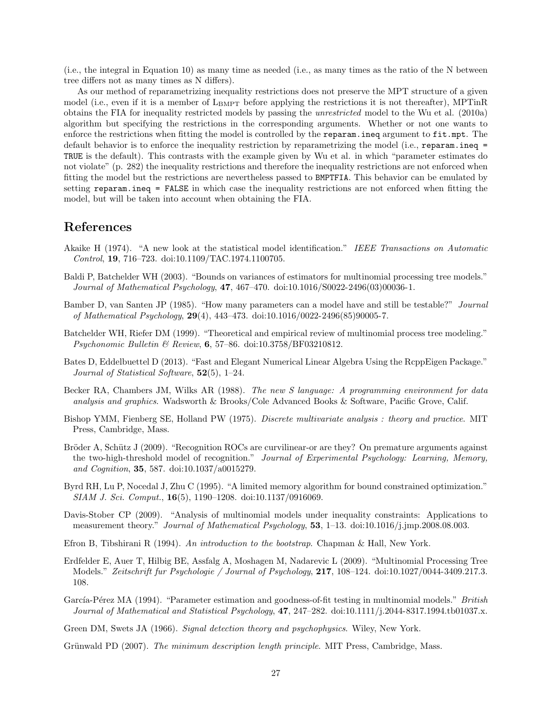(i.e., the integral in Equation 10) as many time as needed (i.e., as many times as the ratio of the N between tree differs not as many times as N differs).

As our method of reparametrizing inequality restrictions does not preserve the MPT structure of a given model (i.e., even if it is a member of  $L_{BMPT}$  before applying the restrictions it is not thereafter), MPTinR obtains the FIA for inequality restricted models by passing the *unrestricted* model to the Wu et al. (2010a) algorithm but specifying the restrictions in the corresponding arguments. Whether or not one wants to enforce the restrictions when fitting the model is controlled by the reparam.ineq argument to fit.mpt. The default behavior is to enforce the inequality restriction by reparametrizing the model (i.e., reparam.ineq = TRUE is the default). This contrasts with the example given by Wu et al. in which "parameter estimates do not violate" (p. 282) the inequality restrictions and therefore the inequality restrictions are not enforced when fitting the model but the restrictions are nevertheless passed to BMPTFIA. This behavior can be emulated by setting reparam.ineq = FALSE in which case the inequality restrictions are not enforced when fitting the model, but will be taken into account when obtaining the FIA.

## References

- <span id="page-26-6"></span>Akaike H (1974). "A new look at the statistical model identification." *IEEE Transactions on Automatic Control*, 19, 716–723. doi:10.1109/TAC.1974.1100705.
- <span id="page-26-14"></span>Baldi P, Batchelder WH (2003). "Bounds on variances of estimators for multinomial processing tree models." *Journal of Mathematical Psychology*, 47, 467–470. doi:10.1016/S0022-2496(03)00036-1.
- <span id="page-26-2"></span>Bamber D, van Santen JP (1985). "How many parameters can a model have and still be testable?" *Journal of Mathematical Psychology*, 29(4), 443–473. doi:10.1016/0022-2496(85)90005-7.
- <span id="page-26-1"></span>Batchelder WH, Riefer DM (1999). "Theoretical and empirical review of multinomial process tree modeling." *Psychonomic Bulletin & Review*, 6, 57–86. doi:10.3758/BF03210812.
- <span id="page-26-11"></span>Bates D, Eddelbuettel D (2013). "Fast and Elegant Numerical Linear Algebra Using the RcppEigen Package." *Journal of Statistical Software*, 52(5), 1–24.
- <span id="page-26-8"></span>Becker RA, Chambers JM, Wilks AR (1988). *The new S language: A programming environment for data analysis and graphics*. Wadsworth & Brooks/Cole Advanced Books & Software, Pacific Grove, Calif.
- <span id="page-26-4"></span>Bishop YMM, Fienberg SE, Holland PW (1975). *Discrete multivariate analysis : theory and practice*. MIT Press, Cambridge, Mass.
- <span id="page-26-10"></span>Bröder A, Schütz J (2009). "Recognition ROCs are curvilinear-or are they? On premature arguments against the two-high-threshold model of recognition." *Journal of Experimental Psychology: Learning, Memory, and Cognition*, 35, 587. doi:10.1037/a0015279.
- <span id="page-26-13"></span>Byrd RH, Lu P, Nocedal J, Zhu C (1995). "A limited memory algorithm for bound constrained optimization." *SIAM J. Sci. Comput.*, 16(5), 1190–1208. doi:10.1137/0916069.
- <span id="page-26-12"></span>Davis-Stober CP (2009). "Analysis of multinomial models under inequality constraints: Applications to measurement theory." *Journal of Mathematical Psychology*, 53, 1–13. doi:10.1016/j.jmp.2008.08.003.
- <span id="page-26-3"></span>Efron B, Tibshirani R (1994). *An introduction to the bootstrap*. Chapman & Hall, New York.
- <span id="page-26-0"></span>Erdfelder E, Auer T, Hilbig BE, Assfalg A, Moshagen M, Nadarevic L (2009). "Multinomial Processing Tree Models." *Zeitschrift fur Psychologie / Journal of Psychology*, 217, 108–124. doi:10.1027/0044-3409.217.3. 108.
- <span id="page-26-5"></span>García-Pérez MA (1994). "Parameter estimation and goodness-of-fit testing in multinomial models." *British Journal of Mathematical and Statistical Psychology*, 47, 247–282. doi:10.1111/j.2044-8317.1994.tb01037.x.
- <span id="page-26-9"></span>Green DM, Swets JA (1966). *Signal detection theory and psychophysics*. Wiley, New York.
- <span id="page-26-7"></span>Grünwald PD (2007). *The minimum description length principle*. MIT Press, Cambridge, Mass.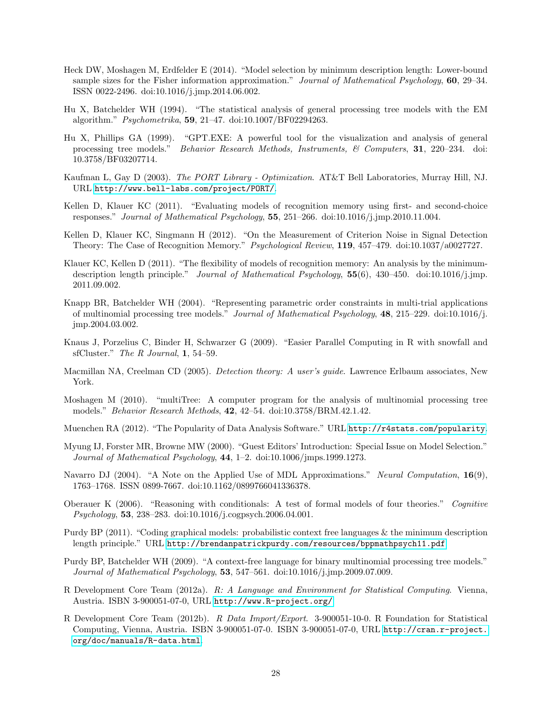- <span id="page-27-14"></span>Heck DW, Moshagen M, Erdfelder E (2014). "Model selection by minimum description length: Lower-bound sample sizes for the Fisher information approximation." *Journal of Mathematical Psychology*, 60, 29–34. ISSN 0022-2496. doi:10.1016/j.jmp.2014.06.002.
- <span id="page-27-0"></span>Hu X, Batchelder WH (1994). "The statistical analysis of general processing tree models with the EM algorithm." *Psychometrika*, 59, 21–47. doi:10.1007/BF02294263.
- <span id="page-27-8"></span>Hu X, Phillips GA (1999). "GPT.EXE: A powerful tool for the visualization and analysis of general processing tree models." *Behavior Research Methods, Instruments, & Computers*, 31, 220–234. doi: 10.3758/BF03207714.
- <span id="page-27-17"></span>Kaufman L, Gay D (2003). *The PORT Library - Optimization*. AT&T Bell Laboratories, Murray Hill, NJ. URL <http://www.bell-labs.com/project/PORT/>.
- <span id="page-27-4"></span>Kellen D, Klauer KC (2011). "Evaluating models of recognition memory using first- and second-choice responses." *Journal of Mathematical Psychology*, 55, 251–266. doi:10.1016/j.jmp.2010.11.004.
- <span id="page-27-15"></span>Kellen D, Klauer KC, Singmann H (2012). "On the Measurement of Criterion Noise in Signal Detection Theory: The Case of Recognition Memory." *Psychological Review*, 119, 457–479. doi:10.1037/a0027727.
- <span id="page-27-6"></span>Klauer KC, Kellen D (2011). "The flexibility of models of recognition memory: An analysis by the minimumdescription length principle." *Journal of Mathematical Psychology*, 55(6), 430–450. doi:10.1016/j.jmp. 2011.09.002.
- <span id="page-27-18"></span>Knapp BR, Batchelder WH (2004). "Representing parametric order constraints in multi-trial applications of multinomial processing tree models." *Journal of Mathematical Psychology*, 48, 215–229. doi:10.1016/j. jmp.2004.03.002.
- <span id="page-27-16"></span>Knaus J, Porzelius C, Binder H, Schwarzer G (2009). "Easier Parallel Computing in R with snowfall and sfCluster." *The R Journal*, 1, 54–59.
- <span id="page-27-11"></span>Macmillan NA, Creelman CD (2005). *Detection theory: A user's guide*. Lawrence Erlbaum associates, New York.
- <span id="page-27-3"></span>Moshagen M (2010). "multiTree: A computer program for the analysis of multinomial processing tree models." *Behavior Research Methods*, 42, 42–54. doi:10.3758/BRM.42.1.42.
- <span id="page-27-7"></span>Muenchen RA (2012). "The Popularity of Data Analysis Software." URL <http://r4stats.com/popularity>.
- <span id="page-27-5"></span>Myung IJ, Forster MR, Browne MW (2000). "Guest Editors' Introduction: Special Issue on Model Selection." *Journal of Mathematical Psychology*, 44, 1–2. doi:10.1006/jmps.1999.1273.
- <span id="page-27-13"></span>Navarro DJ (2004). "A Note on the Applied Use of MDL Approximations." *Neural Computation*, 16(9), 1763–1768. ISSN 0899-7667. doi:10.1162/0899766041336378.
- <span id="page-27-9"></span>Oberauer K (2006). "Reasoning with conditionals: A test of formal models of four theories." *Cognitive Psychology*, 53, 238–283. doi:10.1016/j.cogpsych.2006.04.001.
- <span id="page-27-10"></span>Purdy BP (2011). "Coding graphical models: probabilistic context free languages & the minimum description length principle." URL <http://brendanpatrickpurdy.com/resources/bppmathpsych11.pdf>.
- <span id="page-27-1"></span>Purdy BP, Batchelder WH (2009). "A context-free language for binary multinomial processing tree models." *Journal of Mathematical Psychology*, 53, 547–561. doi:10.1016/j.jmp.2009.07.009.
- <span id="page-27-2"></span>R Development Core Team (2012a). *R: A Language and Environment for Statistical Computing*. Vienna, Austria. ISBN 3-900051-07-0, URL <http://www.R-project.org/>.
- <span id="page-27-12"></span>R Development Core Team (2012b). *R Data Import/Export*. 3-900051-10-0. R Foundation for Statistical Computing, Vienna, Austria. ISBN 3-900051-07-0. ISBN 3-900051-07-0, URL [http://cran.r-project.](http://cran.r-project.org/doc/manuals/R-data.html) [org/doc/manuals/R-data.html](http://cran.r-project.org/doc/manuals/R-data.html).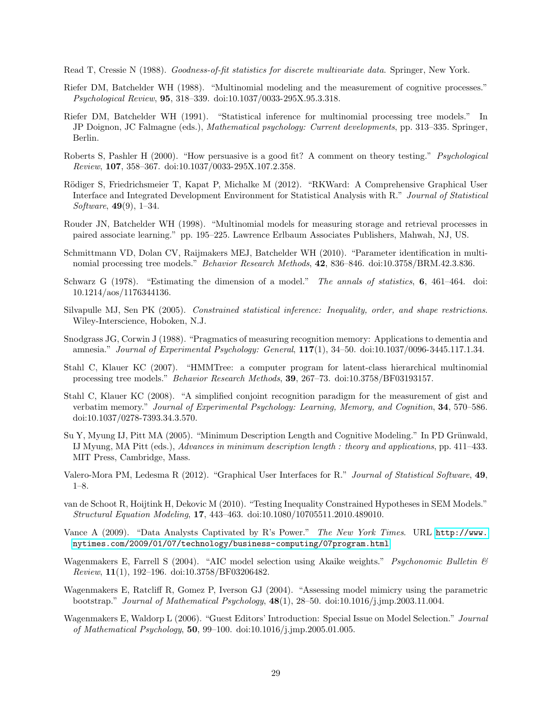<span id="page-28-2"></span>Read T, Cressie N (1988). *Goodness-of-fit statistics for discrete multivariate data*. Springer, New York.

- <span id="page-28-0"></span>Riefer DM, Batchelder WH (1988). "Multinomial modeling and the measurement of cognitive processes." *Psychological Review*, 95, 318–339. doi:10.1037/0033-295X.95.3.318.
- <span id="page-28-5"></span>Riefer DM, Batchelder WH (1991). "Statistical inference for multinomial processing tree models." In JP Doignon, JC Falmagne (eds.), *Mathematical psychology: Current developments*, pp. 313–335. Springer, Berlin.
- <span id="page-28-7"></span>Roberts S, Pashler H (2000). "How persuasive is a good fit? A comment on theory testing." *Psychological Review*, 107, 358–367. doi:10.1037/0033-295X.107.2.358.
- <span id="page-28-14"></span>Rödiger S, Friedrichsmeier T, Kapat P, Michalke M (2012). "RKWard: A Comprehensive Graphical User Interface and Integrated Development Environment for Statistical Analysis with R." *Journal of Statistical Software*, 49(9), 1–34.
- <span id="page-28-18"></span>Rouder JN, Batchelder WH (1998). "Multinomial models for measuring storage and retrieval processes in paired associate learning." pp. 195–225. Lawrence Erlbaum Associates Publishers, Mahwah, NJ, US.
- <span id="page-28-4"></span>Schmittmann VD, Dolan CV, Raijmakers MEJ, Batchelder WH (2010). "Parameter identification in multinomial processing tree models." *Behavior Research Methods*, 42, 836–846. doi:10.3758/BRM.42.3.836.
- <span id="page-28-9"></span>Schwarz G (1978). "Estimating the dimension of a model." *The annals of statistics*, 6, 461–464. doi: 10.1214/aos/1176344136.
- <span id="page-28-6"></span>Silvapulle MJ, Sen PK (2005). *Constrained statistical inference: Inequality, order, and shape restrictions*. Wiley-Interscience, Hoboken, N.J.
- <span id="page-28-1"></span>Snodgrass JG, Corwin J (1988). "Pragmatics of measuring recognition memory: Applications to dementia and amnesia." *Journal of Experimental Psychology: General*, 117(1), 34–50. doi:10.1037/0096-3445.117.1.34.
- <span id="page-28-12"></span>Stahl C, Klauer KC (2007). "HMMTree: a computer program for latent-class hierarchical multinomial processing tree models." *Behavior Research Methods*, 39, 267–73. doi:10.3758/BF03193157.
- <span id="page-28-3"></span>Stahl C, Klauer KC (2008). "A simplified conjoint recognition paradigm for the measurement of gist and verbatim memory." *Journal of Experimental Psychology: Learning, Memory, and Cognition*, 34, 570–586. doi:10.1037/0278-7393.34.3.570.
- <span id="page-28-10"></span>Su Y, Myung IJ, Pitt MA (2005). "Minimum Description Length and Cognitive Modeling." In PD Grünwald, IJ Myung, MA Pitt (eds.), *Advances in minimum description length : theory and applications*, pp. 411–433. MIT Press, Cambridge, Mass.
- <span id="page-28-13"></span>Valero-Mora PM, Ledesma R (2012). "Graphical User Interfaces for R." *Journal of Statistical Software*, 49, 1–8.
- <span id="page-28-16"></span>van de Schoot R, Hoijtink H, Dekovic M (2010). "Testing Inequality Constrained Hypotheses in SEM Models." *Structural Equation Modeling*, 17, 443–463. doi:10.1080/10705511.2010.489010.
- <span id="page-28-11"></span>Vance A (2009). "Data Analysts Captivated by R's Power." *The New York Times*. URL [http://www.](http://www.nytimes.com/2009/01/07/technology/business-computing/07program.html) [nytimes.com/2009/01/07/technology/business-computing/07program.html](http://www.nytimes.com/2009/01/07/technology/business-computing/07program.html).
- <span id="page-28-15"></span>Wagenmakers E, Farrell S (2004). "AIC model selection using Akaike weights." *Psychonomic Bulletin & Review*, 11(1), 192–196. doi:10.3758/BF03206482.
- <span id="page-28-17"></span>Wagenmakers E, Ratcliff R, Gomez P, Iverson GJ (2004). "Assessing model mimicry using the parametric bootstrap." *Journal of Mathematical Psychology*, 48(1), 28–50. doi:10.1016/j.jmp.2003.11.004.
- <span id="page-28-8"></span>Wagenmakers E, Waldorp L (2006). "Guest Editors' Introduction: Special Issue on Model Selection." *Journal of Mathematical Psychology*, 50, 99–100. doi:10.1016/j.jmp.2005.01.005.